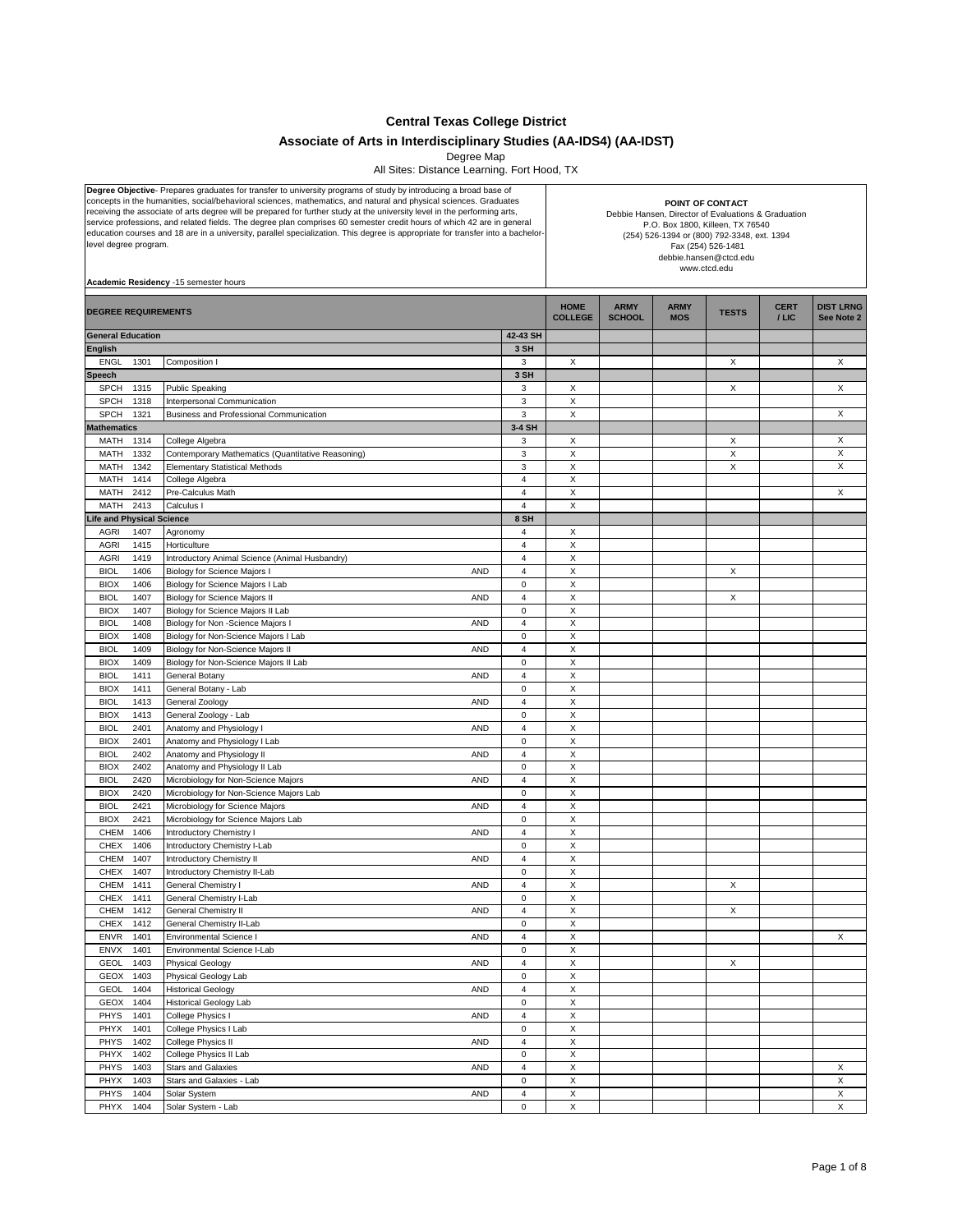**Central Texas College District**

## **Associate of Arts in Interdisciplinary Studies (AA-IDS4) (AA-IDST)**

Degree Map

All Sites: Distance Learning. Fort Hood, TX

| Degree Objective- Prepares graduates for transfer to university programs of study by introducing a broad base of<br>concepts in the humanities, social/behavioral sciences, mathematics, and natural and physical sciences. Graduates<br>receiving the associate of arts degree will be prepared for further study at the university level in the performing arts,<br>service professions, and related fields. The degree plan comprises 60 semester credit hours of which 42 are in general<br>education courses and 18 are in a university, parallel specialization. This degree is appropriate for transfer into a bachelor-<br>level degree program.<br>Academic Residency -15 semester hours | POINT OF CONTACT<br>Debbie Hansen, Director of Evaluations & Graduation<br>P.O. Box 1800, Killeen, TX 76540<br>(254) 526-1394 or (800) 792-3348, ext. 1394<br>Fax (254) 526-1481<br>debbie.hansen@ctcd.edu<br>www.ctcd.edu |                               |                               |                              |                           |              |                      |                                |
|---------------------------------------------------------------------------------------------------------------------------------------------------------------------------------------------------------------------------------------------------------------------------------------------------------------------------------------------------------------------------------------------------------------------------------------------------------------------------------------------------------------------------------------------------------------------------------------------------------------------------------------------------------------------------------------------------|----------------------------------------------------------------------------------------------------------------------------------------------------------------------------------------------------------------------------|-------------------------------|-------------------------------|------------------------------|---------------------------|--------------|----------------------|--------------------------------|
| <b>DEGREE REQUIREMENTS</b>                                                                                                                                                                                                                                                                                                                                                                                                                                                                                                                                                                                                                                                                        |                                                                                                                                                                                                                            |                               | <b>HOME</b><br><b>COLLEGE</b> | <b>ARMY</b><br><b>SCHOOL</b> | <b>ARMY</b><br><b>MOS</b> | <b>TESTS</b> | <b>CERT</b><br>/ LIC | <b>DIST LRNG</b><br>See Note 2 |
| <b>General Education</b>                                                                                                                                                                                                                                                                                                                                                                                                                                                                                                                                                                                                                                                                          |                                                                                                                                                                                                                            | 42-43 SH                      |                               |                              |                           |              |                      |                                |
| <b>English</b>                                                                                                                                                                                                                                                                                                                                                                                                                                                                                                                                                                                                                                                                                    |                                                                                                                                                                                                                            | 3 SH                          |                               |                              |                           |              |                      |                                |
| <b>ENGL</b><br>1301<br>Speech                                                                                                                                                                                                                                                                                                                                                                                                                                                                                                                                                                                                                                                                     | Composition I                                                                                                                                                                                                              | 3<br>3 SH                     | X                             |                              |                           | X            |                      | X                              |
| <b>SPCH</b><br>1315                                                                                                                                                                                                                                                                                                                                                                                                                                                                                                                                                                                                                                                                               | <b>Public Speaking</b>                                                                                                                                                                                                     | 3                             | Х                             |                              |                           | Х            |                      | Х                              |
| <b>SPCH</b><br>1318                                                                                                                                                                                                                                                                                                                                                                                                                                                                                                                                                                                                                                                                               | Interpersonal Communication                                                                                                                                                                                                | 3                             | X                             |                              |                           |              |                      |                                |
| <b>SPCH</b><br>1321                                                                                                                                                                                                                                                                                                                                                                                                                                                                                                                                                                                                                                                                               | Business and Professional Communication                                                                                                                                                                                    | 3                             | $\mathsf X$                   |                              |                           |              |                      | X                              |
| <b>Mathematics</b>                                                                                                                                                                                                                                                                                                                                                                                                                                                                                                                                                                                                                                                                                |                                                                                                                                                                                                                            | 3-4 SH                        |                               |                              |                           |              |                      |                                |
| MATH<br>1314<br>1332<br>MATH                                                                                                                                                                                                                                                                                                                                                                                                                                                                                                                                                                                                                                                                      | College Algebra<br>Contemporary Mathematics (Quantitative Reasoning)                                                                                                                                                       | 3<br>3                        | X<br>X                        |                              |                           | X<br>X       |                      | X<br>X                         |
| MATH<br>1342                                                                                                                                                                                                                                                                                                                                                                                                                                                                                                                                                                                                                                                                                      | <b>Elementary Statistical Methods</b>                                                                                                                                                                                      | 3                             | X                             |                              |                           | X            |                      | X                              |
| MATH<br>1414                                                                                                                                                                                                                                                                                                                                                                                                                                                                                                                                                                                                                                                                                      | College Algebra                                                                                                                                                                                                            | 4                             | $\mathsf X$                   |                              |                           |              |                      |                                |
| MATH<br>2412                                                                                                                                                                                                                                                                                                                                                                                                                                                                                                                                                                                                                                                                                      | Pre-Calculus Math                                                                                                                                                                                                          | $\overline{4}$                | X                             |                              |                           |              |                      | X                              |
| MATH<br>2413                                                                                                                                                                                                                                                                                                                                                                                                                                                                                                                                                                                                                                                                                      | Calculus I                                                                                                                                                                                                                 | $\overline{4}$                | X                             |                              |                           |              |                      |                                |
| ife and Physical Science<br><b>AGRI</b><br>1407                                                                                                                                                                                                                                                                                                                                                                                                                                                                                                                                                                                                                                                   | Agronomy                                                                                                                                                                                                                   | 8 SH<br>4                     | X                             |                              |                           |              |                      |                                |
| <b>AGRI</b><br>1415                                                                                                                                                                                                                                                                                                                                                                                                                                                                                                                                                                                                                                                                               | Horticulture                                                                                                                                                                                                               | $\overline{4}$                | $\mathsf X$                   |                              |                           |              |                      |                                |
| <b>AGRI</b><br>1419                                                                                                                                                                                                                                                                                                                                                                                                                                                                                                                                                                                                                                                                               | Introductory Animal Science (Animal Husbandry)                                                                                                                                                                             | $\overline{4}$                | X                             |                              |                           |              |                      |                                |
| <b>BIOL</b><br>1406                                                                                                                                                                                                                                                                                                                                                                                                                                                                                                                                                                                                                                                                               | Biology for Science Majors I<br>AND                                                                                                                                                                                        | $\overline{4}$                | X                             |                              |                           | X            |                      |                                |
| <b>BIOX</b><br>1406                                                                                                                                                                                                                                                                                                                                                                                                                                                                                                                                                                                                                                                                               | Biology for Science Majors I Lab                                                                                                                                                                                           | 0                             | X                             |                              |                           |              |                      |                                |
| <b>BIOL</b><br>1407                                                                                                                                                                                                                                                                                                                                                                                                                                                                                                                                                                                                                                                                               | Biology for Science Majors II<br>AND                                                                                                                                                                                       | 4                             | X                             |                              |                           | X            |                      |                                |
| <b>BIOX</b><br>1407                                                                                                                                                                                                                                                                                                                                                                                                                                                                                                                                                                                                                                                                               | Biology for Science Majors II Lab                                                                                                                                                                                          | $\Omega$                      | $\mathsf X$                   |                              |                           |              |                      |                                |
| 1408<br><b>BIOL</b><br><b>BIOX</b><br>1408                                                                                                                                                                                                                                                                                                                                                                                                                                                                                                                                                                                                                                                        | AND<br>Biology for Non -Science Majors I<br>Biology for Non-Science Majors I Lab                                                                                                                                           | $\overline{4}$<br>$\mathbf 0$ | X<br>X                        |                              |                           |              |                      |                                |
| <b>BIOL</b><br>1409                                                                                                                                                                                                                                                                                                                                                                                                                                                                                                                                                                                                                                                                               | Biology for Non-Science Majors II<br>AND                                                                                                                                                                                   | $\overline{4}$                | X                             |                              |                           |              |                      |                                |
| <b>BIOX</b><br>1409                                                                                                                                                                                                                                                                                                                                                                                                                                                                                                                                                                                                                                                                               | Biology for Non-Science Majors II Lab                                                                                                                                                                                      | $\mathbf 0$                   | X                             |                              |                           |              |                      |                                |
| <b>BIOL</b><br>1411                                                                                                                                                                                                                                                                                                                                                                                                                                                                                                                                                                                                                                                                               | General Botany<br>AND                                                                                                                                                                                                      | $\overline{4}$                | $\mathsf X$                   |                              |                           |              |                      |                                |
| <b>BIOX</b><br>1411                                                                                                                                                                                                                                                                                                                                                                                                                                                                                                                                                                                                                                                                               | General Botany - Lab                                                                                                                                                                                                       | $\pmb{0}$                     | X                             |                              |                           |              |                      |                                |
| <b>BIOL</b><br>1413                                                                                                                                                                                                                                                                                                                                                                                                                                                                                                                                                                                                                                                                               | General Zoology<br>AND                                                                                                                                                                                                     | $\overline{4}$                | X                             |                              |                           |              |                      |                                |
| <b>BIOX</b><br>1413<br><b>BIOL</b><br>2401                                                                                                                                                                                                                                                                                                                                                                                                                                                                                                                                                                                                                                                        | General Zoology - Lab<br>Anatomy and Physiology I<br>AND                                                                                                                                                                   | $\mathbf 0$<br>$\overline{4}$ | X<br>X                        |                              |                           |              |                      |                                |
| <b>BIOX</b><br>2401                                                                                                                                                                                                                                                                                                                                                                                                                                                                                                                                                                                                                                                                               | Anatomy and Physiology I Lab                                                                                                                                                                                               | $\Omega$                      | $\mathsf X$                   |                              |                           |              |                      |                                |
| 2402<br><b>BIOL</b>                                                                                                                                                                                                                                                                                                                                                                                                                                                                                                                                                                                                                                                                               | AND<br>Anatomy and Physiology II                                                                                                                                                                                           | $\overline{4}$                | X                             |                              |                           |              |                      |                                |
| <b>BIOX</b><br>2402                                                                                                                                                                                                                                                                                                                                                                                                                                                                                                                                                                                                                                                                               | Anatomy and Physiology II Lab                                                                                                                                                                                              | $\mathbf 0$                   | X                             |                              |                           |              |                      |                                |
| 2420<br><b>BIOL</b>                                                                                                                                                                                                                                                                                                                                                                                                                                                                                                                                                                                                                                                                               | Microbiology for Non-Science Majors<br>AND                                                                                                                                                                                 | $\overline{4}$                | X                             |                              |                           |              |                      |                                |
| <b>BIOX</b><br>2420<br><b>BIOL</b>                                                                                                                                                                                                                                                                                                                                                                                                                                                                                                                                                                                                                                                                | Microbiology for Non-Science Majors Lab<br>AND                                                                                                                                                                             | 0<br>$\overline{4}$           | X<br>$\mathsf X$              |                              |                           |              |                      |                                |
| 2421<br><b>BIOX</b><br>2421                                                                                                                                                                                                                                                                                                                                                                                                                                                                                                                                                                                                                                                                       | Microbiology for Science Majors<br>Microbiology for Science Majors Lab                                                                                                                                                     | $\pmb{0}$                     | X                             |                              |                           |              |                      |                                |
| CHEM<br>1406                                                                                                                                                                                                                                                                                                                                                                                                                                                                                                                                                                                                                                                                                      | Introductory Chemistry I<br>AND                                                                                                                                                                                            | $\overline{4}$                | X                             |                              |                           |              |                      |                                |
| <b>CHEX</b><br>1406                                                                                                                                                                                                                                                                                                                                                                                                                                                                                                                                                                                                                                                                               | Introductory Chemistry I-Lab                                                                                                                                                                                               | $\mathbf 0$                   | X                             |                              |                           |              |                      |                                |
| CHEM<br>1407                                                                                                                                                                                                                                                                                                                                                                                                                                                                                                                                                                                                                                                                                      | AND<br><b>Introductory Chemistry II</b>                                                                                                                                                                                    | 4                             | X                             |                              |                           |              |                      |                                |
| <b>CHEX</b><br>1407                                                                                                                                                                                                                                                                                                                                                                                                                                                                                                                                                                                                                                                                               | Introductory Chemistry II-Lab                                                                                                                                                                                              | $\Omega$                      | X                             |                              |                           |              |                      |                                |
| CHEM 1411<br>CHEX<br>1411                                                                                                                                                                                                                                                                                                                                                                                                                                                                                                                                                                                                                                                                         | General Chemistry I<br>AND<br>General Chemistry I-Lab                                                                                                                                                                      | $\overline{4}$<br>0           | Χ<br>X                        |                              |                           | X            |                      |                                |
| CHEM<br>1412                                                                                                                                                                                                                                                                                                                                                                                                                                                                                                                                                                                                                                                                                      | General Chemistry II<br><b>AND</b>                                                                                                                                                                                         | $\overline{4}$                | X                             |                              |                           | X            |                      |                                |
| 1412<br><b>CHEX</b>                                                                                                                                                                                                                                                                                                                                                                                                                                                                                                                                                                                                                                                                               | General Chemistry II-Lab                                                                                                                                                                                                   | 0                             | X                             |                              |                           |              |                      |                                |
| <b>ENVR</b><br>1401                                                                                                                                                                                                                                                                                                                                                                                                                                                                                                                                                                                                                                                                               | <b>Environmental Science I</b><br><b>AND</b>                                                                                                                                                                               | 4                             | $\mathsf X$                   |                              |                           |              |                      | X                              |
| ENVX<br>1401                                                                                                                                                                                                                                                                                                                                                                                                                                                                                                                                                                                                                                                                                      | Environmental Science I-Lab                                                                                                                                                                                                | 0                             | Χ                             |                              |                           |              |                      |                                |
| GEOL<br>1403                                                                                                                                                                                                                                                                                                                                                                                                                                                                                                                                                                                                                                                                                      | Physical Geology<br><b>AND</b>                                                                                                                                                                                             | 4                             | X                             |                              |                           | X            |                      |                                |
| GEOX<br>1403<br><b>GEOL</b><br>1404                                                                                                                                                                                                                                                                                                                                                                                                                                                                                                                                                                                                                                                               | Physical Geology Lab<br><b>Historical Geology</b><br><b>AND</b>                                                                                                                                                            | 0<br>4                        | X<br>Χ                        |                              |                           |              |                      |                                |
| GEOX<br>1404                                                                                                                                                                                                                                                                                                                                                                                                                                                                                                                                                                                                                                                                                      | Historical Geology Lab                                                                                                                                                                                                     | 0                             | $\mathsf X$                   |                              |                           |              |                      |                                |
| PHYS<br>1401                                                                                                                                                                                                                                                                                                                                                                                                                                                                                                                                                                                                                                                                                      | College Physics I<br><b>AND</b>                                                                                                                                                                                            | 4                             | X                             |                              |                           |              |                      |                                |
| PHYX<br>1401                                                                                                                                                                                                                                                                                                                                                                                                                                                                                                                                                                                                                                                                                      | College Physics I Lab                                                                                                                                                                                                      | 0                             | $\mathsf X$                   |                              |                           |              |                      |                                |
| PHYS<br>1402                                                                                                                                                                                                                                                                                                                                                                                                                                                                                                                                                                                                                                                                                      | College Physics II<br>AND                                                                                                                                                                                                  | $\overline{4}$                | X                             |                              |                           |              |                      |                                |
| PHYX<br>1402                                                                                                                                                                                                                                                                                                                                                                                                                                                                                                                                                                                                                                                                                      | College Physics II Lab                                                                                                                                                                                                     | 0                             | X                             |                              |                           |              |                      |                                |
| PHYS<br>1403<br>1403<br>PHYX                                                                                                                                                                                                                                                                                                                                                                                                                                                                                                                                                                                                                                                                      | <b>Stars and Galaxies</b><br><b>AND</b><br>Stars and Galaxies - Lab                                                                                                                                                        | 4<br>0                        | $\mathsf X$<br>Χ              |                              |                           |              |                      | X<br>X                         |
| PHYS<br>1404                                                                                                                                                                                                                                                                                                                                                                                                                                                                                                                                                                                                                                                                                      | Solar System<br><b>AND</b>                                                                                                                                                                                                 | $\overline{4}$                | X                             |                              |                           |              |                      | X                              |
| PHYX<br>1404                                                                                                                                                                                                                                                                                                                                                                                                                                                                                                                                                                                                                                                                                      | Solar System - Lab                                                                                                                                                                                                         | 0                             | X                             |                              |                           |              |                      | X                              |
|                                                                                                                                                                                                                                                                                                                                                                                                                                                                                                                                                                                                                                                                                                   |                                                                                                                                                                                                                            |                               |                               |                              |                           |              |                      |                                |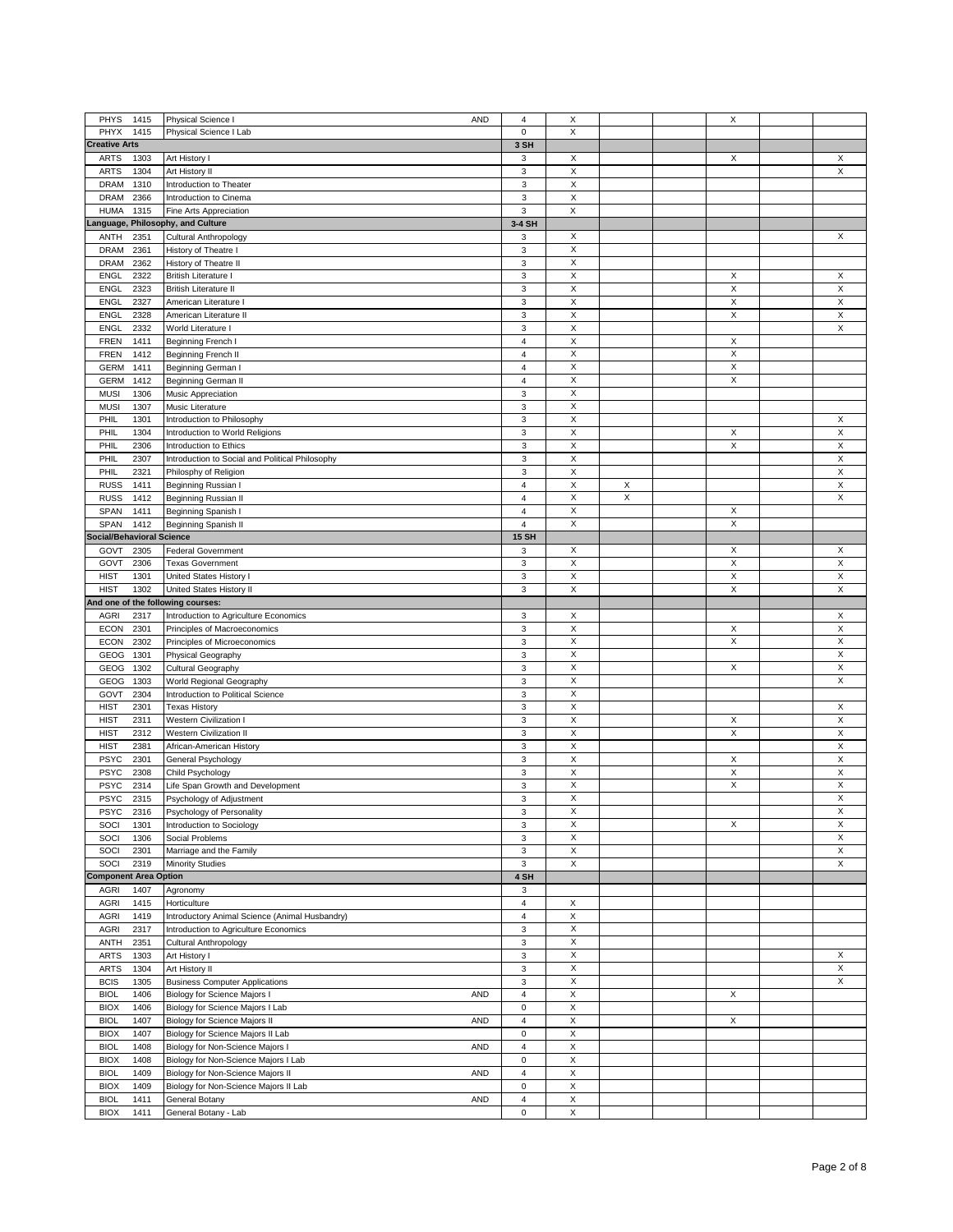|                                            | <b>AND</b>                                      |                           |                  |   |   |                           |
|--------------------------------------------|-------------------------------------------------|---------------------------|------------------|---|---|---------------------------|
| PHYS<br>1415                               | Physical Science I                              | 4                         | X                |   | Χ |                           |
| PHYX<br>1415                               | Physical Science I Lab                          | 0                         | X                |   |   |                           |
| <b>Creative Arts</b>                       |                                                 | 3 SH                      |                  |   |   |                           |
| <b>ARTS</b><br>1303                        | Art History I                                   | 3                         | X                |   | Χ | X                         |
|                                            |                                                 |                           |                  |   |   |                           |
| 1304<br><b>ARTS</b>                        | Art History II                                  | 3                         | X                |   |   | X                         |
| <b>DRAM</b><br>1310                        | Introduction to Theater                         | $\ensuremath{\mathsf{3}}$ | X                |   |   |                           |
| <b>DRAM</b><br>2366                        | Introduction to Cinema                          | $\ensuremath{\mathsf{3}}$ | X                |   |   |                           |
|                                            |                                                 |                           |                  |   |   |                           |
| <b>HUMA</b><br>1315                        | Fine Arts Appreciation                          | 3                         | $\mathsf X$      |   |   |                           |
| Language, Philosophy, and Culture          |                                                 | 3-4 SH                    |                  |   |   |                           |
| 2351<br>ANTH                               | Cultural Anthropology                           | 3                         | X                |   |   | X                         |
|                                            |                                                 |                           |                  |   |   |                           |
| 2361<br><b>DRAM</b>                        | History of Theatre I                            | 3                         | X                |   |   |                           |
| <b>DRAM</b><br>2362                        | History of Theatre II                           | 3                         | X                |   |   |                           |
| <b>ENGL</b><br>2322                        | <b>British Literature I</b>                     | 3                         | X                |   | Χ | X                         |
|                                            |                                                 |                           |                  |   |   |                           |
| <b>ENGL</b><br>2323                        | <b>British Literature II</b>                    | 3                         | X                |   | X | X                         |
| <b>ENGL</b><br>2327                        | American Literature I                           | 3                         | X                |   | X | X                         |
|                                            |                                                 |                           |                  |   |   |                           |
| <b>ENGL</b><br>2328                        | American Literature II                          | 3                         | X                |   | X | X                         |
| 2332<br><b>ENGL</b>                        | World Literature I                              | 3                         | X                |   |   | Χ                         |
| <b>FREN</b><br>1411                        | Beginning French I                              | 4                         | X                |   | X |                           |
|                                            |                                                 |                           |                  |   |   |                           |
| 1412<br><b>FREN</b>                        | Beginning French II                             | 4                         | X                |   | X |                           |
| <b>GERM</b><br>1411                        | Beginning German I                              | 4                         | X                |   | X |                           |
| <b>GERM</b><br>1412                        | Beginning German II                             | 4                         | X                |   | X |                           |
|                                            |                                                 |                           |                  |   |   |                           |
| <b>MUSI</b><br>1306                        | <b>Music Appreciation</b>                       | 3                         | X                |   |   |                           |
| <b>MUSI</b><br>1307                        | Music Literature                                | 3                         | X                |   |   |                           |
| PHIL<br>1301                               | Introduction to Philosophy                      | 3                         | X                |   |   | X                         |
|                                            |                                                 |                           |                  |   |   |                           |
| PHIL<br>1304                               | Introduction to World Religions                 | 3                         | X                |   | X | X                         |
| PHIL<br>2306                               | Introduction to Ethics                          | 3                         | X                |   | Χ | X                         |
| PHIL<br>2307                               |                                                 | 3                         | X                |   |   | X                         |
|                                            | Introduction to Social and Political Philosophy |                           |                  |   |   |                           |
| PHIL<br>2321                               | Philosphy of Religion                           | 3                         | X                |   |   | X                         |
| <b>RUSS</b><br>1411                        | Beginning Russian I                             | 4                         | X                | X |   | X                         |
|                                            |                                                 |                           | X                | X |   | X                         |
| <b>RUSS</b><br>1412                        | Beginning Russian II                            | 4                         |                  |   |   |                           |
| SPAN<br>1411                               | Beginning Spanish I                             | 4                         | X                |   | Χ |                           |
| SPAN<br>1412                               | Beginning Spanish II                            | 4                         | X                |   | Χ |                           |
|                                            |                                                 |                           |                  |   |   |                           |
| <b>Social/Behavioral Science</b>           |                                                 | <b>15 SH</b>              |                  |   |   |                           |
| GOVT<br>2305                               | <b>Federal Government</b>                       | 3                         | X                |   | Χ | X                         |
| GOVT<br>2306                               | <b>Texas Government</b>                         | 3                         | X                |   | X | X                         |
|                                            |                                                 |                           |                  |   |   |                           |
| <b>HIST</b><br>1301                        | United States History I                         | 3                         | X                |   | Χ | X                         |
| <b>HIST</b><br>1302                        | United States History II                        | 3                         | X                |   | X | X                         |
| And one of the following courses:          |                                                 |                           |                  |   |   |                           |
|                                            |                                                 |                           |                  |   |   |                           |
| <b>AGRI</b><br>2317                        | Introduction to Agriculture Economics           | 3                         | X                |   |   | $\times$                  |
|                                            |                                                 |                           |                  |   |   |                           |
|                                            |                                                 |                           |                  |   |   |                           |
| <b>ECON</b><br>2301                        | Principles of Macroeconomics                    | 3                         | X                |   | X | $\boldsymbol{\mathsf{X}}$ |
| <b>ECON</b><br>2302                        | Principles of Microeconomics                    | 3                         | X                |   | X | X                         |
| GEOG<br>1301                               | Physical Geography                              | 3                         | X                |   |   | X                         |
|                                            |                                                 |                           |                  |   |   |                           |
| GEOG<br>1302                               | Cultural Geography                              | 3                         | X                |   | X | X                         |
| GEOG<br>1303                               | World Regional Geography                        | 3                         | X                |   |   | X                         |
| GOVT<br>2304                               | Introduction to Political Science               | 3                         | X                |   |   |                           |
|                                            |                                                 |                           |                  |   |   |                           |
| <b>HIST</b><br>2301                        | <b>Texas History</b>                            | 3                         | X                |   |   | X                         |
| <b>HIST</b><br>2311                        | <b>Western Civilization I</b>                   | 3                         | X                |   | X | X                         |
| <b>HIST</b><br>2312                        | <b>Western Civilization II</b>                  | 3                         | X                |   | Χ | X                         |
|                                            |                                                 |                           |                  |   |   |                           |
| <b>HIST</b><br>2381                        | African-American History                        | 3                         | X                |   |   | X                         |
| <b>PSYC</b><br>2301                        | General Psychology                              | 3                         | X                |   | X | X                         |
| <b>PSYC</b><br>2308                        | Child Psychology                                | 3                         | X                |   | Χ | X                         |
|                                            |                                                 |                           |                  |   |   |                           |
| <b>PSYC</b><br>2314                        | Life Span Growth and Development                | 3                         | X                |   | X | X                         |
| <b>PSYC</b><br>2315                        | Psychology of Adjustment                        | 3                         | X                |   |   | X                         |
|                                            |                                                 |                           | Х                |   |   | X                         |
| PSYC<br>2316                               | Psychology of Personality                       | 3                         |                  |   |   |                           |
| SOCI<br>1301                               | Introduction to Sociology                       | 3                         | X                |   | X | X                         |
| SOCI<br>1306                               | Social Problems                                 | 3                         | $\mathsf X$      |   |   | X                         |
| SOCI<br>2301                               | Marriage and the Family                         | 3                         | X                |   |   | X                         |
|                                            |                                                 |                           |                  |   |   |                           |
| SOCI<br>2319                               | <b>Minority Studies</b>                         | 3                         | X                |   |   | X                         |
| <b>Component Area Option</b>               |                                                 | 4 SH                      |                  |   |   |                           |
|                                            |                                                 |                           |                  |   |   |                           |
| <b>AGRI</b><br>1407                        | Agronomy                                        | 3                         |                  |   |   |                           |
| AGRI<br>1415                               | Horticulture                                    | 4                         | X                |   |   |                           |
| <b>AGRI</b><br>1419                        | Introductory Animal Science (Animal Husbandry)  | 4                         | X                |   |   |                           |
| <b>AGRI</b><br>2317                        | Introduction to Agriculture Economics           | 3                         | X                |   |   |                           |
|                                            |                                                 |                           |                  |   |   |                           |
| ANTH<br>2351                               | Cultural Anthropology                           | 3                         | X                |   |   |                           |
| 1303<br><b>ARTS</b>                        | Art History I                                   | 3                         | X                |   |   | X                         |
|                                            |                                                 |                           |                  |   |   |                           |
| <b>ARTS</b><br>1304                        | Art History II                                  | 3                         | $\mathsf X$      |   |   | X                         |
| <b>BCIS</b><br>1305                        | <b>Business Computer Applications</b>           | 3                         | Χ                |   |   | X                         |
| <b>BIOL</b><br>1406                        | Biology for Science Majors I<br>AND             | 4                         | X                |   | X |                           |
|                                            |                                                 |                           |                  |   |   |                           |
| <b>BIOX</b><br>1406                        | Biology for Science Majors I Lab                | 0                         | $\mathsf X$      |   |   |                           |
| <b>BIOL</b><br>1407                        | AND<br>Biology for Science Majors II            | 4                         | $\mathsf X$      |   | X |                           |
| <b>BIOX</b><br>1407                        | Biology for Science Majors II Lab               | 0                         | $\sf X$          |   |   |                           |
|                                            |                                                 |                           |                  |   |   |                           |
| <b>BIOL</b><br>1408                        | Biology for Non-Science Majors I<br>AND         | 4                         | Χ                |   |   |                           |
| <b>BIOX</b><br>1408                        | Biology for Non-Science Majors I Lab            | 0                         | X                |   |   |                           |
| <b>BIOL</b><br>1409                        | Biology for Non-Science Majors II<br>AND        | 4                         | $\mathsf X$      |   |   |                           |
|                                            |                                                 |                           |                  |   |   |                           |
| <b>BIOX</b><br>1409                        | Biology for Non-Science Majors II Lab           | 0                         | $\mathsf X$      |   |   |                           |
| <b>BIOL</b><br>1411<br><b>BIOX</b><br>1411 | General Botany<br>AND<br>General Botany - Lab   | 4<br>0                    | $\mathsf X$<br>X |   |   |                           |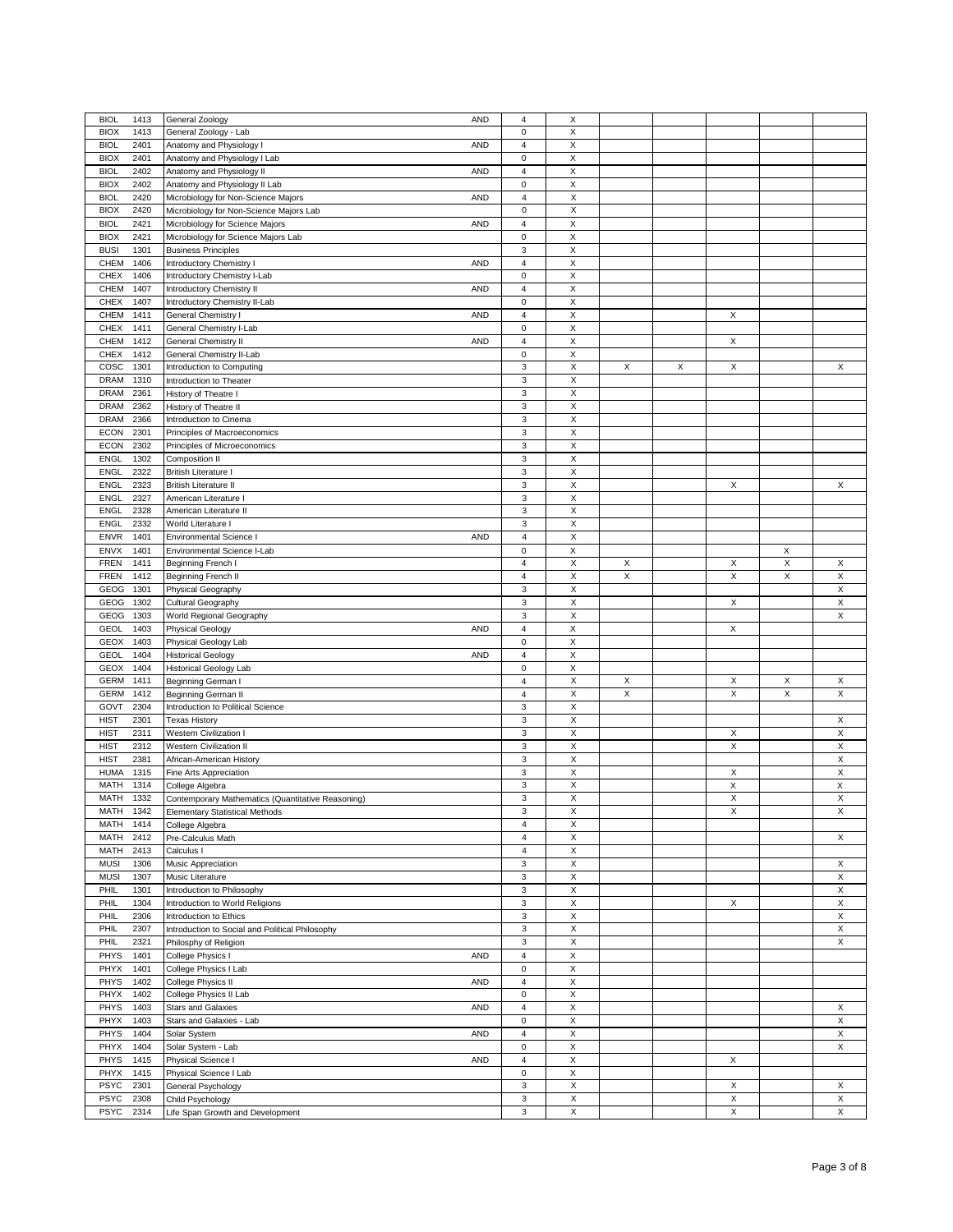| <b>BIOL</b><br>1413 | General Zoology<br>AND                            | 4                         | X              |   |   |   |             |   |
|---------------------|---------------------------------------------------|---------------------------|----------------|---|---|---|-------------|---|
| <b>BIOX</b><br>1413 | General Zoology - Lab                             | 0                         | X              |   |   |   |             |   |
|                     |                                                   |                           |                |   |   |   |             |   |
| 2401<br><b>BIOL</b> | Anatomy and Physiology I<br>AND                   | 4                         | X              |   |   |   |             |   |
| <b>BIOX</b><br>2401 | Anatomy and Physiology I Lab                      | $\mathbf 0$               | X              |   |   |   |             |   |
| <b>BIOL</b><br>2402 | Anatomy and Physiology II<br>AND                  | $\overline{\mathbf{4}}$   | $\mathsf X$    |   |   |   |             |   |
| <b>BIOX</b><br>2402 | Anatomy and Physiology II Lab                     | $\mathbf 0$               | X              |   |   |   |             |   |
| <b>BIOL</b><br>2420 | Microbiology for Non-Science Majors<br>AND        | $\overline{4}$            | X              |   |   |   |             |   |
| <b>BIOX</b><br>2420 | Microbiology for Non-Science Majors Lab           | $\mathbf 0$               | X              |   |   |   |             |   |
| <b>BIOL</b><br>2421 | AND<br>Microbiology for Science Majors            | $\sqrt{4}$                | X              |   |   |   |             |   |
|                     |                                                   |                           |                |   |   |   |             |   |
| <b>BIOX</b><br>2421 | Microbiology for Science Majors Lab               | $\pmb{0}$                 | $\mathsf X$    |   |   |   |             |   |
| <b>BUSI</b><br>1301 | <b>Business Principles</b>                        | 3                         | X              |   |   |   |             |   |
| CHEM<br>1406        | Introductory Chemistry I<br>AND                   | $\overline{4}$            | X              |   |   |   |             |   |
| <b>CHEX</b><br>1406 | Introductory Chemistry I-Lab                      | $\pmb{0}$                 | X              |   |   |   |             |   |
| CHEM<br>1407        | AND<br>Introductory Chemistry II                  | $\sqrt{4}$                | X              |   |   |   |             |   |
| <b>CHEX</b><br>1407 | Introductory Chemistry II-Lab                     | $\pmb{0}$                 | $\mathsf X$    |   |   |   |             |   |
| CHEM<br>1411        | General Chemistry I<br>AND                        | 4                         | X              |   |   | X |             |   |
| <b>CHEX</b><br>1411 | General Chemistry I-Lab                           | $\mathbf 0$               | X              |   |   |   |             |   |
|                     |                                                   |                           |                |   |   |   |             |   |
| CHEM<br>1412        | General Chemistry II<br><b>AND</b>                | 4                         | X              |   |   | Χ |             |   |
| <b>CHEX</b><br>1412 | General Chemistry II-Lab                          | $\mathbf 0$               | X              |   |   |   |             |   |
| 1301<br>COSC        | Introduction to Computing                         | $\mathsf 3$               | $\mathsf X$    | X | X | X |             | X |
| <b>DRAM</b><br>1310 | Introduction to Theater                           | 3                         | X              |   |   |   |             |   |
| <b>DRAM</b><br>2361 | History of Theatre I                              | 3                         | X              |   |   |   |             |   |
| <b>DRAM</b><br>2362 | History of Theatre II                             | 3                         | X              |   |   |   |             |   |
| <b>DRAM</b><br>2366 | Introduction to Cinema                            | 3                         | X              |   |   |   |             |   |
| <b>ECON</b><br>2301 | Principles of Macroeconomics                      | 3                         | $\mathsf X$    |   |   |   |             |   |
|                     |                                                   |                           |                |   |   |   |             |   |
| <b>ECON</b><br>2302 | Principles of Microeconomics                      | 3                         | X              |   |   |   |             |   |
| ENGL<br>1302        | Composition II                                    | 3                         | X              |   |   |   |             |   |
| <b>ENGL</b><br>2322 | British Literature I                              | 3                         | X              |   |   |   |             |   |
| <b>ENGL</b><br>2323 | <b>British Literature II</b>                      | 3                         | X              |   |   | X |             | X |
| 2327<br><b>ENGL</b> | American Literature I                             | $\mathsf 3$               | $\mathsf X$    |   |   |   |             |   |
| <b>ENGL</b><br>2328 | American Literature II                            | 3                         | X              |   |   |   |             |   |
| <b>ENGL</b><br>2332 | World Literature I                                | 3                         | X              |   |   |   |             |   |
|                     |                                                   |                           |                |   |   |   |             |   |
| <b>ENVR</b><br>1401 | <b>Environmental Science I</b><br>AND             | $\sqrt{4}$                | $\mathsf X$    |   |   |   |             |   |
| ENVX<br>1401        | Environmental Science I-Lab                       | $\pmb{0}$                 | $\mathsf X$    |   |   |   | X           |   |
| <b>FREN</b><br>1411 | Beginning French I                                | $\overline{4}$            | $\mathsf X$    | X |   | X | $\mathsf X$ | X |
| <b>FREN</b><br>1412 | Beginning French II                               | 4                         | X              | X |   | X | X           | X |
| GEOG<br>1301        | Physical Geography                                | 3                         | X              |   |   |   |             | X |
| GEOG<br>1302        | Cultural Geography                                | 3                         | $\mathsf X$    |   |   | Χ |             | X |
| GEOG<br>1303        | World Regional Geography                          | 3                         | X              |   |   |   |             | X |
| <b>GEOL</b><br>1403 | <b>AND</b>                                        | $\sqrt{4}$                | X              |   |   | X |             |   |
|                     | <b>Physical Geology</b>                           |                           |                |   |   |   |             |   |
| <b>GEOX</b><br>1403 | Physical Geology Lab                              | $\mathbf 0$               | X              |   |   |   |             |   |
| <b>GEOL</b><br>1404 | <b>Historical Geology</b><br>AND                  | $\sqrt{4}$                | X              |   |   |   |             |   |
| <b>GEOX</b><br>1404 | <b>Historical Geology Lab</b>                     | $\mathsf{O}\xspace$       | $\mathsf X$    |   |   |   |             |   |
| <b>GERM</b><br>1411 | Beginning German I                                | $\sqrt{4}$                | X              | X |   | X | X           | X |
| <b>GERM</b><br>1412 | Beginning German II                               | $\sqrt{4}$                | $\overline{X}$ | X |   | X | X           | X |
| 2304<br>GOVT        | Introduction to Political Science                 | 3                         | X              |   |   |   |             |   |
| <b>HIST</b><br>2301 | <b>Texas History</b>                              | 3                         | X              |   |   |   |             | X |
|                     | <b>Western Civilization I</b>                     |                           | X              |   |   | X |             | X |
| 2311<br><b>HIST</b> |                                                   | 3                         |                |   |   |   |             |   |
| <b>HIST</b><br>2312 | <b>Western Civilization II</b>                    | 3                         | X              |   |   | X |             | X |
| <b>HIST</b><br>2381 | African-American History                          | 3                         | X              |   |   |   |             | X |
| <b>HUMA</b><br>1315 | Fine Arts Appreciation                            | 3                         | X              |   |   | X |             | X |
| MATH<br>1314        | College Algebra                                   | 3                         | X              |   |   | X |             | X |
| <b>MATH</b><br>1332 | Contemporary Mathematics (Quantitative Reasoning) | 3                         | X              |   |   | X |             | X |
| MATH<br>1342        | <b>Elementary Statistical Methods</b>             | 3                         | X              |   |   | X |             | X |
| MATH<br>1414        | College Algebra                                   | $\overline{4}$            | X              |   |   |   |             |   |
| MATH<br>2412        | Pre-Calculus Math                                 | 4                         | X              |   |   |   |             | X |
|                     | Calculus I                                        | $\overline{4}$            |                |   |   |   |             |   |
| 2413<br>MATH        |                                                   |                           | X              |   |   |   |             |   |
| <b>MUSI</b><br>1306 | Music Appreciation                                | $\ensuremath{\mathsf{3}}$ | $\mathsf X$    |   |   |   |             | X |
| <b>MUSI</b><br>1307 | Music Literature                                  | 3                         | X              |   |   |   |             | X |
| PHIL<br>1301        | Introduction to Philosophy                        | 3                         | X              |   |   |   |             | X |
| PHIL<br>1304        | Introduction to World Religions                   | $\ensuremath{\mathsf{3}}$ | X              |   |   | X |             | X |
| PHIL<br>2306        | Introduction to Ethics                            | 3                         | X              |   |   |   |             | X |
| PHIL<br>2307        | Introduction to Social and Political Philosophy   | 3                         | $\mathsf X$    |   |   |   |             | X |
| PHIL<br>2321        | Philosphy of Religion                             | 3                         | X              |   |   |   |             | X |
|                     |                                                   | $\overline{4}$            |                |   |   |   |             |   |
| PHYS<br>1401        | College Physics I<br>AND                          |                           | X              |   |   |   |             |   |
| PHYX<br>1401        | College Physics I Lab                             | $\pmb{0}$                 | X              |   |   |   |             |   |
| PHYS<br>1402        | College Physics II<br>AND                         | $\overline{4}$            | X              |   |   |   |             |   |
| PHYX<br>1402        | College Physics II Lab                            | $\mathsf 0$               | $\mathsf X$    |   |   |   |             |   |
| PHYS<br>1403        | <b>Stars and Galaxies</b><br>AND                  | $\sqrt{4}$                | $\mathsf X$    |   |   |   |             | X |
| PHYX<br>1403        | Stars and Galaxies - Lab                          | $\pmb{0}$                 | X              |   |   |   |             | X |
| PHYS<br>1404        | Solar System<br>AND                               | $\overline{4}$            | X              |   |   |   |             | X |
| PHYX<br>1404        | Solar System - Lab                                | $\pmb{0}$                 | X              |   |   |   |             | X |
|                     |                                                   |                           | $\mathsf X$    |   |   |   |             |   |
| PHYS<br>1415        | Physical Science I<br>AND                         | $\overline{4}$            |                |   |   | X |             |   |
| PHYX<br>1415        | Physical Science I Lab                            | $\mathbf 0$               | $\mathsf X$    |   |   |   |             |   |
| <b>PSYC</b><br>2301 | General Psychology                                | 3                         | X              |   |   | X |             | X |
| <b>PSYC</b><br>2308 | Child Psychology                                  | 3                         | X              |   |   | X |             | X |
| <b>PSYC</b><br>2314 | Life Span Growth and Development                  | 3                         | X              |   |   | X |             | X |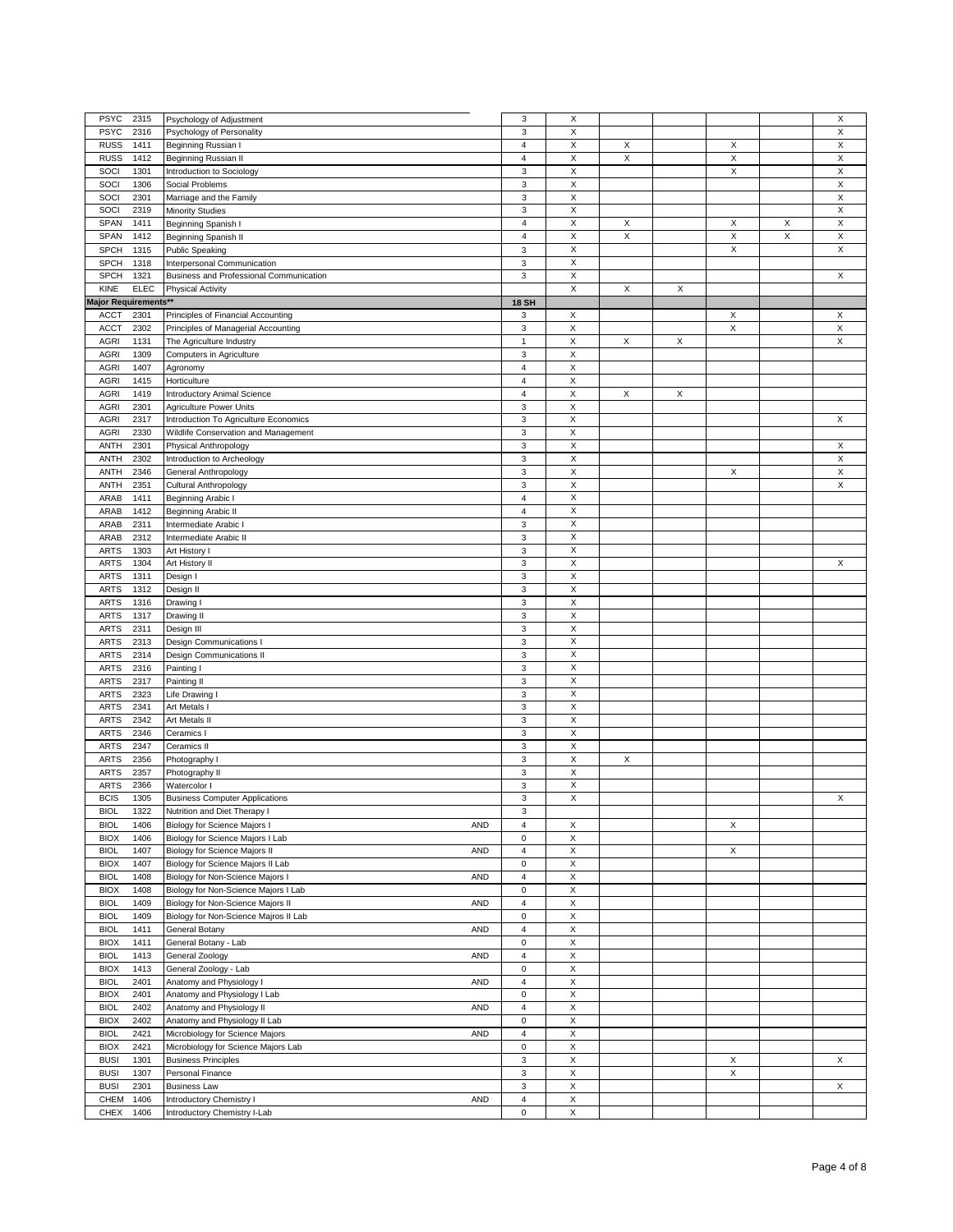| <b>PSYC</b>          | 2315        | Psychology of Adjustment                 | 3                         | X                         |             |   |   |   | X |
|----------------------|-------------|------------------------------------------|---------------------------|---------------------------|-------------|---|---|---|---|
| <b>PSYC</b>          | 2316        | Psychology of Personality                | 3                         | X                         |             |   |   |   | X |
| <b>RUSS</b>          | 1411        | Beginning Russian I                      | 4                         | X                         | X           |   | X |   | X |
| <b>RUSS</b>          | 1412        | Beginning Russian II                     | $\sqrt{4}$                | $\mathsf X$               | X           |   | X |   | X |
|                      |             |                                          |                           |                           |             |   |   |   |   |
| SOCI                 | 1301        | Introduction to Sociology                | 3                         | X                         |             |   | X |   | X |
| SOCI                 | 1306        | Social Problems                          | 3                         | X                         |             |   |   |   | X |
| SOCI                 | 2301        | Marriage and the Family                  | 3                         | X                         |             |   |   |   | X |
|                      |             |                                          |                           |                           |             |   |   |   |   |
| SOCI                 | 2319        | <b>Minority Studies</b>                  | 3                         | X                         |             |   |   |   | X |
| SPAN                 | 1411        | Beginning Spanish I                      | $\overline{4}$            | $\mathsf X$               | X           |   | X | X | X |
| SPAN                 | 1412        | Beginning Spanish II                     | $\overline{4}$            | $\boldsymbol{\mathsf{X}}$ | $\mathsf X$ |   | X | X | X |
|                      |             |                                          |                           |                           |             |   |   |   |   |
| <b>SPCH</b>          | 1315        | <b>Public Speaking</b>                   | $\ensuremath{\mathsf{3}}$ | X                         |             |   | X |   | X |
| <b>SPCH</b>          | 1318        | Interpersonal Communication              | 3                         | X                         |             |   |   |   |   |
| <b>SPCH</b>          | 1321        | Business and Professional Communication  | $\ensuremath{\mathsf{3}}$ | X                         |             |   |   |   | X |
|                      | <b>ELEC</b> |                                          |                           | $\mathsf X$               |             | X |   |   |   |
| KINE                 |             | <b>Physical Activity</b>                 |                           |                           | X           |   |   |   |   |
| Major Requirements** |             |                                          | <b>18 SH</b>              |                           |             |   |   |   |   |
| <b>ACCT</b>          | 2301        | Principles of Financial Accounting       | 3                         | X                         |             |   | X |   | X |
|                      |             |                                          |                           |                           |             |   |   |   |   |
| ACCT                 | 2302        | Principles of Managerial Accounting      | 3                         | X                         |             |   | X |   | X |
| <b>AGRI</b>          | 1131        | The Agriculture Industry                 | 1                         | X                         | X           | X |   |   | X |
| <b>AGRI</b>          | 1309        | Computers in Agriculture                 | 3                         | $\mathsf X$               |             |   |   |   |   |
| <b>AGRI</b>          | 1407        |                                          | $\overline{\mathbf{4}}$   | $\mathsf X$               |             |   |   |   |   |
|                      |             | Agronomy                                 |                           |                           |             |   |   |   |   |
| <b>AGRI</b>          | 1415        | Horticulture                             | $\overline{\mathbf{4}}$   | X                         |             |   |   |   |   |
| <b>AGRI</b>          | 1419        | Introductory Animal Science              | 4                         | X                         | X           | X |   |   |   |
| <b>AGRI</b>          | 2301        | Agriculture Power Units                  | $\ensuremath{\mathsf{3}}$ | X                         |             |   |   |   |   |
|                      |             |                                          |                           |                           |             |   |   |   |   |
| <b>AGRI</b>          | 2317        | Introduction To Agriculture Economics    | 3                         | $\boldsymbol{\mathsf{X}}$ |             |   |   |   | X |
| <b>AGRI</b>          | 2330        | Wildlife Conservation and Management     | 3                         | $\mathsf X$               |             |   |   |   |   |
| <b>ANTH</b>          | 2301        | Physical Anthropology                    | 3                         | X                         |             |   |   |   | X |
|                      |             |                                          |                           |                           |             |   |   |   |   |
| ANTH                 | 2302        | Introduction to Archeology               | 3                         | X                         |             |   |   |   | X |
| ANTH                 | 2346        | General Anthropology                     | $\ensuremath{\mathsf{3}}$ | X                         |             |   | X |   | X |
| <b>ANTH</b>          | 2351        | Cultural Anthropology                    | 3                         | $\mathsf X$               |             |   |   |   | X |
|                      |             |                                          |                           |                           |             |   |   |   |   |
| ARAB                 | 1411        | Beginning Arabic I                       | $\overline{\mathbf{4}}$   | $\mathsf X$               |             |   |   |   |   |
| ARAB                 | 1412        | <b>Beginning Arabic II</b>               | $\overline{\mathbf{4}}$   | X                         |             |   |   |   |   |
| ARAB                 | 2311        | Intermediate Arabic I                    | 3                         | X                         |             |   |   |   |   |
|                      |             |                                          |                           |                           |             |   |   |   |   |
| ARAB                 | 2312        | Intermediate Arabic II                   | $\ensuremath{\mathsf{3}}$ | X                         |             |   |   |   |   |
| <b>ARTS</b>          | 1303        | Art History I                            | $\mathsf 3$               | $\mathsf X$               |             |   |   |   |   |
| <b>ARTS</b>          | 1304        | Art History II                           | 3                         | X                         |             |   |   |   | X |
|                      |             |                                          |                           |                           |             |   |   |   |   |
| <b>ARTS</b>          | 1311        | Design I                                 | $\ensuremath{\mathsf{3}}$ | X                         |             |   |   |   |   |
| <b>ARTS</b>          | 1312        | Design II                                | 3                         | X                         |             |   |   |   |   |
| <b>ARTS</b>          | 1316        | Drawing I                                | $\ensuremath{\mathsf{3}}$ | X                         |             |   |   |   |   |
| <b>ARTS</b>          |             |                                          | 3                         | X                         |             |   |   |   |   |
|                      | 1317        | Drawing II                               |                           |                           |             |   |   |   |   |
| <b>ARTS</b>          | 2311        | Design III                               | $\ensuremath{\mathsf{3}}$ | X                         |             |   |   |   |   |
| <b>ARTS</b>          | 2313        | Design Communications I                  | $\ensuremath{\mathsf{3}}$ | X                         |             |   |   |   |   |
| <b>ARTS</b>          | 2314        |                                          | 3                         | X                         |             |   |   |   |   |
|                      |             | Design Communications II                 |                           |                           |             |   |   |   |   |
| <b>ARTS</b>          | 2316        | Painting I                               | $\ensuremath{\mathsf{3}}$ | X                         |             |   |   |   |   |
| <b>ARTS</b>          | 2317        | Painting II                              | 3                         | Χ                         |             |   |   |   |   |
| <b>ARTS</b>          | 2323        | Life Drawing I                           | $\ensuremath{\mathsf{3}}$ | X                         |             |   |   |   |   |
|                      |             |                                          |                           |                           |             |   |   |   |   |
| <b>ARTS</b>          | 2341        | Art Metals I                             | $\ensuremath{\mathsf{3}}$ | X                         |             |   |   |   |   |
| <b>ARTS</b>          | 2342        | Art Metals II                            | $\ensuremath{\mathsf{3}}$ | X                         |             |   |   |   |   |
| <b>ARTS</b>          | 2346        | Ceramics I                               | $\ensuremath{\mathsf{3}}$ | X                         |             |   |   |   |   |
|                      |             |                                          |                           |                           |             |   |   |   |   |
| <b>ARTS</b>          | 2347        | Ceramics II                              | 3                         | Χ                         |             |   |   |   |   |
| <b>ARTS</b>          | 2356        | Photography I                            | $\ensuremath{\mathsf{3}}$ | X                         | X           |   |   |   |   |
| <b>ARTS</b>          | 2357        | Photography II                           | $\ensuremath{\mathsf{3}}$ | X                         |             |   |   |   |   |
|                      |             |                                          |                           |                           |             |   |   |   |   |
| <b>ARTS</b>          | 2366        | Watercolor I                             | 3                         | X                         |             |   |   |   |   |
| <b>BCIS</b>          | 1305        | <b>Business Computer Applications</b>    | 3                         | X                         |             |   |   |   | X |
| <b>BIOL</b>          | 1322        | Nutrition and Diet Therapy I             | 3                         |                           |             |   |   |   |   |
| <b>BIOL</b>          | 1406        | Biology for Science Majors I<br>AND      | 4                         | X                         |             |   | X |   |   |
|                      |             |                                          |                           |                           |             |   |   |   |   |
| <b>BIOX</b>          | 1406        | Biology for Science Majors I Lab         | $\mathbf 0$               | X                         |             |   |   |   |   |
| <b>BIOL</b>          | 1407        | Biology for Science Majors II<br>AND     | $\overline{\mathbf{4}}$   | $\boldsymbol{\mathsf{X}}$ |             |   | X |   |   |
| <b>BIOX</b>          | 1407        | Biology for Science Majors II Lab        | $\mathbf 0$               | X                         |             |   |   |   |   |
|                      |             |                                          |                           |                           |             |   |   |   |   |
| <b>BIOL</b>          | 1408        | Biology for Non-Science Majors I<br>AND  | $\overline{\mathbf{4}}$   | $\mathsf X$               |             |   |   |   |   |
| <b>BIOX</b>          | 1408        | Biology for Non-Science Majors I Lab     | $\mathbf 0$               | X                         |             |   |   |   |   |
| <b>BIOL</b>          | 1409        | Biology for Non-Science Majors II<br>AND | $\overline{\mathbf{4}}$   | X                         |             |   |   |   |   |
|                      |             |                                          |                           |                           |             |   |   |   |   |
| <b>BIOL</b>          | 1409        | Biology for Non-Science Majros II Lab    | $\mathsf 0$               | $\boldsymbol{\mathsf{X}}$ |             |   |   |   |   |
| <b>BIOL</b>          | 1411        | AND<br>General Botany                    | $\overline{\mathbf{4}}$   | X                         |             |   |   |   |   |
| <b>BIOX</b>          | 1411        | General Botany - Lab                     | $\mathsf{O}\xspace$       | $\mathsf X$               |             |   |   |   |   |
|                      | 1413        |                                          |                           |                           |             |   |   |   |   |
| <b>BIOL</b>          |             | General Zoology<br>AND                   | $\overline{\mathbf{4}}$   | X                         |             |   |   |   |   |
| <b>BIOX</b>          | 1413        | General Zoology - Lab                    | $\mathbf 0$               | $\mathsf X$               |             |   |   |   |   |
| <b>BIOL</b>          | 2401        | Anatomy and Physiology I<br>AND          | $\overline{\mathbf{4}}$   | $\boldsymbol{\mathsf{X}}$ |             |   |   |   |   |
|                      |             |                                          | $\mathsf 0$               |                           |             |   |   |   |   |
| <b>BIOX</b>          | 2401        | Anatomy and Physiology I Lab             |                           | X                         |             |   |   |   |   |
| <b>BIOL</b>          | 2402        | Anatomy and Physiology II<br>AND         | $\overline{\mathbf{4}}$   | $\mathsf X$               |             |   |   |   |   |
| <b>BIOX</b>          | 2402        | Anatomy and Physiology II Lab            | $\mathbf 0$               | X                         |             |   |   |   |   |
| <b>BIOL</b>          | 2421        | Microbiology for Science Majors<br>AND   | $\overline{\mathbf{4}}$   | X                         |             |   |   |   |   |
|                      |             |                                          |                           |                           |             |   |   |   |   |
| <b>BIOX</b>          | 2421        | Microbiology for Science Majors Lab      | $\mathsf 0$               | $\boldsymbol{\mathsf{X}}$ |             |   |   |   |   |
| <b>BUSI</b>          | 1301        | <b>Business Principles</b>               | $\mathsf 3$               | X                         |             |   | X |   | X |
| <b>BUSI</b>          | 1307        | Personal Finance                         | $\mathsf 3$               | $\mathsf X$               |             |   | X |   |   |
|                      |             |                                          |                           |                           |             |   |   |   |   |
| <b>BUSI</b>          | 2301        | <b>Business Law</b>                      | $\ensuremath{\mathsf{3}}$ | X                         |             |   |   |   | X |
| CHEM                 | 1406        | Introductory Chemistry I<br>AND          | $\overline{\mathbf{4}}$   | $\mathsf X$               |             |   |   |   |   |
| CHEX                 | 1406        | Introductory Chemistry I-Lab             | $\mathsf 0$               | $\mathsf X$               |             |   |   |   |   |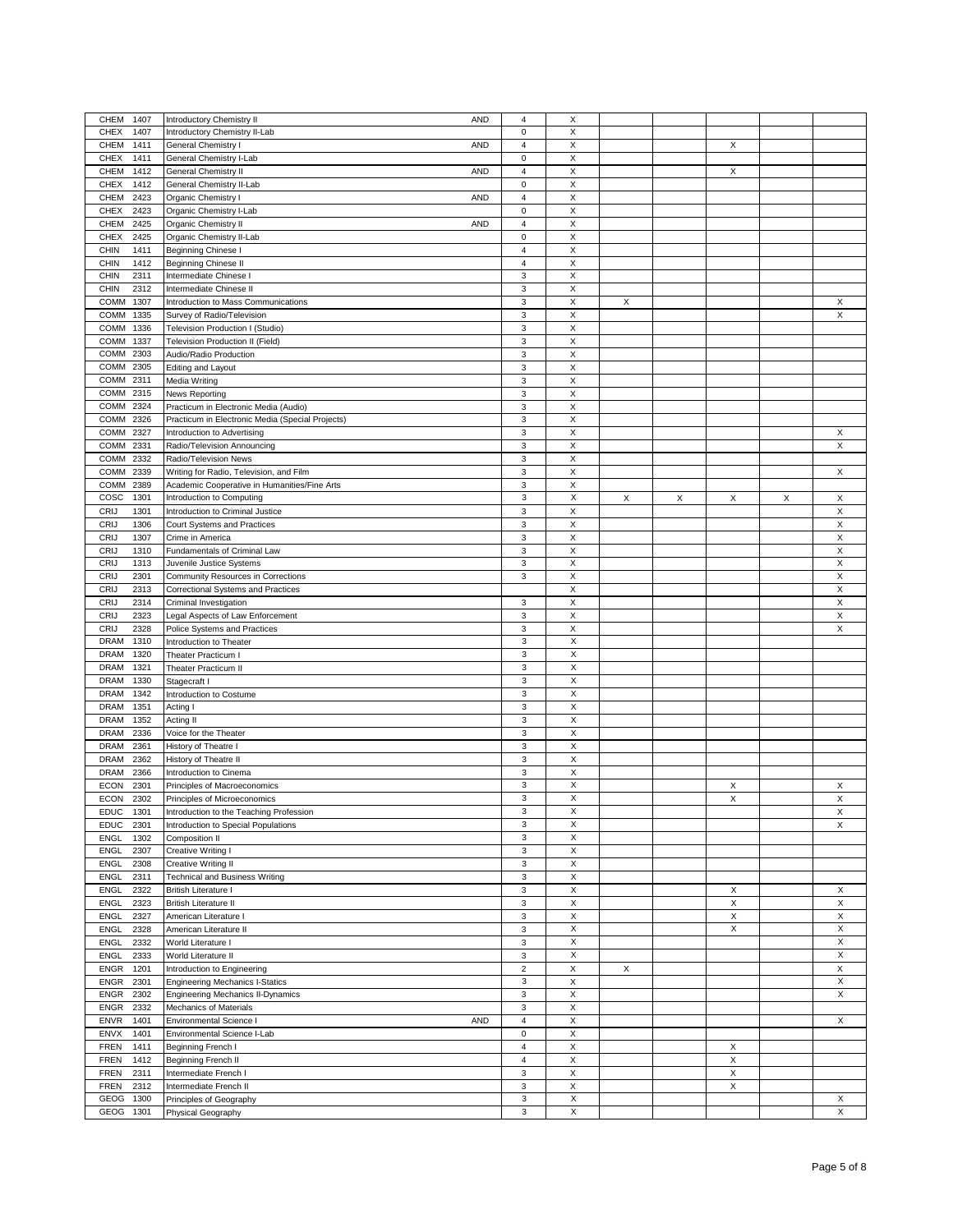| CHEM<br>1407                 | <b>AND</b><br>Introductory Chemistry II          | $\overline{4}$ | X                              |   |   |   |   |        |
|------------------------------|--------------------------------------------------|----------------|--------------------------------|---|---|---|---|--------|
|                              |                                                  |                |                                |   |   |   |   |        |
| <b>CHEX</b><br>1407          | Introductory Chemistry II-Lab                    | $\pmb{0}$      | X                              |   |   |   |   |        |
| 1411<br>CHEM                 | General Chemistry I<br><b>AND</b>                | $\overline{4}$ | X                              |   |   | X |   |        |
| 1411<br><b>CHEX</b>          | General Chemistry I-Lab                          | $\pmb{0}$      | X                              |   |   |   |   |        |
| CHEM<br>1412                 | General Chemistry II<br><b>AND</b>               | $\sqrt{4}$     | X                              |   |   | X |   |        |
|                              |                                                  |                |                                |   |   |   |   |        |
| <b>CHEX</b><br>1412          | General Chemistry II-Lab                         | $\pmb{0}$      | X                              |   |   |   |   |        |
| CHEM<br>2423                 | Organic Chemistry I<br><b>AND</b>                | $\sqrt{4}$     | X                              |   |   |   |   |        |
| <b>CHEX</b><br>2423          | Organic Chemistry I-Lab                          | $\mathbf 0$    | X                              |   |   |   |   |        |
| <b>CHEM</b><br>2425          | Organic Chemistry II<br>AND                      | $\sqrt{4}$     | X                              |   |   |   |   |        |
| <b>CHEX</b><br>2425          | Organic Chemistry II-Lab                         | $\pmb{0}$      | X                              |   |   |   |   |        |
|                              |                                                  |                |                                |   |   |   |   |        |
| <b>CHIN</b><br>1411          | Beginning Chinese I                              | $\overline{4}$ | X                              |   |   |   |   |        |
| CHIN<br>1412                 | Beginning Chinese II                             | $\sqrt{4}$     | X                              |   |   |   |   |        |
| 2311<br><b>CHIN</b>          | Intermediate Chinese I                           | 3              | X                              |   |   |   |   |        |
| CHIN<br>2312                 | Intermediate Chinese II                          | 3              | X                              |   |   |   |   |        |
| <b>COMM</b><br>1307          | Introduction to Mass Communications              | 3              | X                              | X |   |   |   | X      |
|                              |                                                  |                |                                |   |   |   |   |        |
| <b>COMM</b><br>1335          | Survey of Radio/Television                       | 3              | X                              |   |   |   |   | X      |
| COMM<br>1336                 | Television Production I (Studio)                 | 3              | X                              |   |   |   |   |        |
| 1337<br><b>COMM</b>          | Television Production II (Field)                 | 3              | X                              |   |   |   |   |        |
| COMM<br>2303                 | Audio/Radio Production                           | 3              | X                              |   |   |   |   |        |
| COMM<br>2305                 | Editing and Layout                               | 3              | X                              |   |   |   |   |        |
|                              |                                                  |                |                                |   |   |   |   |        |
| COMM<br>2311                 | Media Writing                                    | 3              | X                              |   |   |   |   |        |
| COMM<br>2315                 | News Reporting                                   | 3              | $\mathsf X$                    |   |   |   |   |        |
| <b>COMM</b><br>2324          | Practicum in Electronic Media (Audio)            | 3              | X                              |   |   |   |   |        |
| COMM<br>2326                 | Practicum in Electronic Media (Special Projects) | 3              | X                              |   |   |   |   |        |
| COMM<br>2327                 | Introduction to Advertising                      | 3              | X                              |   |   |   |   | X      |
|                              |                                                  |                |                                |   |   |   |   |        |
| COMM<br>2331                 | Radio/Television Announcing                      | 3              | X                              |   |   |   |   | X      |
| COMM<br>2332                 | Radio/Television News                            | 3              | X                              |   |   |   |   |        |
| <b>COMM</b><br>2339          | Writing for Radio, Television, and Film          | 3              | X                              |   |   |   |   | X      |
| COMM<br>2389                 | Academic Cooperative in Humanities/Fine Arts     | 3              | X                              |   |   |   |   |        |
| cosc<br>1301                 | Introduction to Computing                        | 3              | X                              | X | X | X | X | X      |
| CRIJ<br>1301                 | Introduction to Criminal Justice                 | 3              | X                              |   |   |   |   | X      |
|                              |                                                  |                |                                |   |   |   |   |        |
| CRIJ<br>1306                 | <b>Court Systems and Practices</b>               | 3              | X                              |   |   |   |   | X      |
| <b>CRIJ</b><br>1307          | Crime in America                                 | 3              | X                              |   |   |   |   | X      |
| CRIJ<br>1310                 | Fundamentals of Criminal Law                     | 3              | $\mathsf X$                    |   |   |   |   | X      |
| CRIJ<br>1313                 | Juvenile Justice Systems                         | 3              | X                              |   |   |   |   | X      |
| CRIJ<br>2301                 |                                                  | 3              | X                              |   |   |   |   | X      |
|                              | Community Resources in Corrections               |                |                                |   |   |   |   |        |
| CRIJ<br>2313                 | Correctional Systems and Practices               |                | X                              |   |   |   |   | X      |
| <b>CRIJ</b><br>2314          | Criminal Investigation                           | 3              | X                              |   |   |   |   | X      |
| CRIJ<br>2323                 | Legal Aspects of Law Enforcement                 | 3              | $\mathsf X$                    |   |   |   |   | X      |
| CRIJ<br>2328                 | Police Systems and Practices                     | 3              | X                              |   |   |   |   | X      |
| <b>DRAM</b><br>1310          | Introduction to Theater                          | 3              | X                              |   |   |   |   |        |
| <b>DRAM</b><br>1320          |                                                  | 3              | X                              |   |   |   |   |        |
|                              | Theater Practicum I                              |                |                                |   |   |   |   |        |
| <b>DRAM</b><br>1321          | Theater Practicum II                             | 3              | X                              |   |   |   |   |        |
| <b>DRAM</b><br>1330          | Stagecraft I                                     | 3              | X                              |   |   |   |   |        |
| <b>DRAM</b><br>1342          | Introduction to Costume                          | 3              | X                              |   |   |   |   |        |
| <b>DRAM</b><br>1351          | Acting I                                         | 3              | X                              |   |   |   |   |        |
| <b>DRAM</b><br>1352          | Acting II                                        | 3              | X                              |   |   |   |   |        |
|                              |                                                  |                |                                |   |   |   |   |        |
| <b>DRAM</b><br>2336          | Voice for the Theater                            |                |                                |   |   |   |   |        |
| <b>DRAM</b><br>2361          |                                                  | 3              | X                              |   |   |   |   |        |
|                              | History of Theatre I                             | 3              | X                              |   |   |   |   |        |
| <b>DRAM</b><br>2362          | History of Theatre II                            | 3              | X                              |   |   |   |   |        |
|                              |                                                  |                | X                              |   |   |   |   |        |
| <b>DRAM</b><br>2366          | Introduction to Cinema                           | 3              |                                |   |   |   |   |        |
| <b>ECON</b><br>2301          | Principles of Macroeconomics                     | 3              | X                              |   |   | X |   | X      |
| <b>ECON</b><br>2302          | Principles of Microeconomics                     | 3              | X                              |   |   | X |   | X      |
| <b>EDUC</b><br>1301          | Introduction to the Teaching Profession          | 3              | Х                              |   |   |   |   | х      |
| <b>EDUC</b><br>2301          | Introduction to Special Populations              | $\sqrt{3}$     | X                              |   |   |   |   | X      |
|                              |                                                  |                |                                |   |   |   |   |        |
| <b>ENGL</b><br>1302          | Composition II                                   | 3              | X                              |   |   |   |   |        |
| <b>ENGL</b><br>2307          | Creative Writing I                               | 3              | Χ                              |   |   |   |   |        |
| ENGL<br>2308                 | Creative Writing II                              | 3              | X                              |   |   |   |   |        |
| <b>ENGL</b><br>2311          | <b>Technical and Business Writing</b>            | 3              | X                              |   |   |   |   |        |
| ENGL<br>2322                 | <b>British Literature I</b>                      | 3              | $\mathsf X$                    |   |   | X |   | X      |
| <b>ENGL</b><br>2323          | <b>British Literature II</b>                     | 3              | X                              |   |   | X |   | X      |
|                              |                                                  |                |                                |   |   |   |   |        |
| ENGL<br>2327                 | American Literature I                            | 3              | Χ                              |   |   | X |   | X      |
| ENGL<br>2328                 | American Literature II                           | 3              | X                              |   |   | X |   | X      |
| ENGL<br>2332                 | World Literature I                               | 3              | X                              |   |   |   |   | X      |
| ENGL<br>2333                 | World Literature II                              | 3              | $\mathsf X$                    |   |   |   |   | X      |
| <b>ENGR</b><br>1201          | Introduction to Engineering                      | $\mathbf 2$    | $\mathsf X$                    | X |   |   |   | X      |
|                              |                                                  |                |                                |   |   |   |   | X      |
| 2301<br><b>ENGR</b>          | <b>Engineering Mechanics I-Statics</b>           | 3              | X                              |   |   |   |   |        |
| <b>ENGR</b><br>2302          | <b>Engineering Mechanics II-Dynamics</b>         | 3              | X                              |   |   |   |   | X      |
| <b>ENGR</b><br>2332          | Mechanics of Materials                           | 3              | X                              |   |   |   |   |        |
| 1401<br><b>ENVR</b>          | AND<br>Environmental Science I                   | $\sqrt{4}$     | X                              |   |   |   |   | X      |
| <b>ENVX</b><br>1401          | Environmental Science I-Lab                      | $\pmb{0}$      | X                              |   |   |   |   |        |
| <b>FREN</b><br>1411          | Beginning French I                               | 4              | X                              |   |   | X |   |        |
|                              |                                                  |                |                                |   |   |   |   |        |
| <b>FREN</b><br>1412          | Beginning French II                              | $\overline{4}$ | X                              |   |   | X |   |        |
| <b>FREN</b><br>2311          | Intermediate French I                            | 3              | X                              |   |   | X |   |        |
| <b>FREN</b><br>2312          | Intermediate French II                           | 3              | X                              |   |   | X |   |        |
| 1300<br>GEOG<br>GEOG<br>1301 | Principles of Geography<br>Physical Geography    | 3<br>3         | $\boldsymbol{\mathsf{X}}$<br>X |   |   |   |   | X<br>X |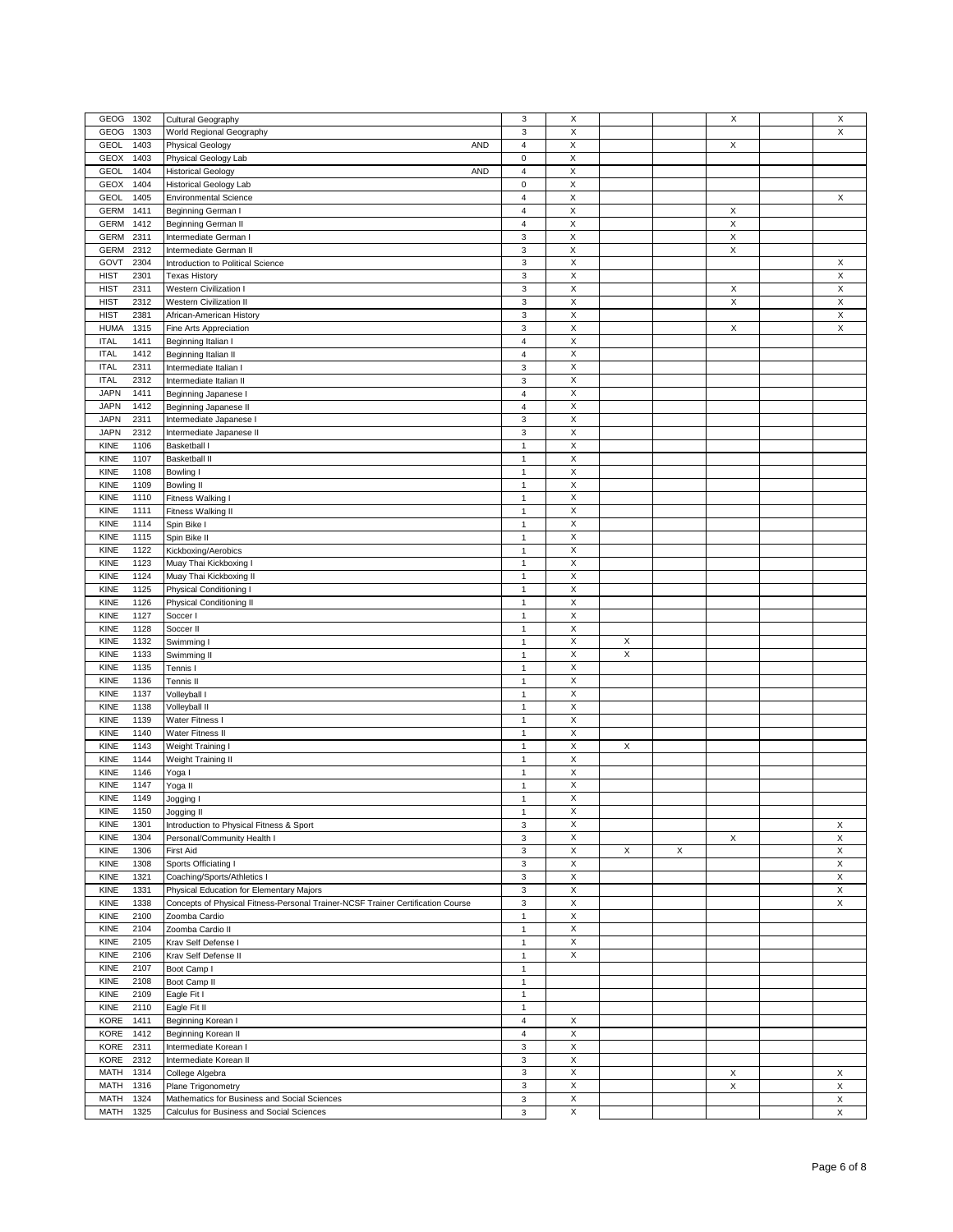| GEOG<br>1302        | Cultural Geography                                                              | $\mathsf 3$               | X                         |   |   | X           | X |
|---------------------|---------------------------------------------------------------------------------|---------------------------|---------------------------|---|---|-------------|---|
|                     |                                                                                 |                           |                           |   |   |             |   |
| GEOG<br>1303        | World Regional Geography                                                        | $\ensuremath{\mathsf{3}}$ | X                         |   |   |             | X |
| <b>GEOL</b><br>1403 | <b>Physical Geology</b><br><b>AND</b>                                           | $\sqrt{4}$                | X                         |   |   | Χ           |   |
| <b>GEOX</b><br>1403 | Physical Geology Lab                                                            | $\pmb{0}$                 | X                         |   |   |             |   |
| <b>GEOL</b><br>1404 | <b>Historical Geology</b><br>AND                                                | $\sqrt{4}$                | X                         |   |   |             |   |
|                     |                                                                                 |                           |                           |   |   |             |   |
| <b>GEOX</b><br>1404 | Historical Geology Lab                                                          | $\mathsf 0$               | $\mathsf X$               |   |   |             |   |
| <b>GEOL</b><br>1405 | <b>Environmental Science</b>                                                    | $\ensuremath{\mathsf{4}}$ | X                         |   |   |             | X |
| 1411<br><b>GERM</b> | Beginning German I                                                              | $\overline{\mathbf{4}}$   | $\mathsf X$               |   |   | Χ           |   |
| <b>GERM</b><br>1412 | Beginning German II                                                             | $\sqrt{4}$                | $\mathsf X$               |   |   | X           |   |
| <b>GERM</b><br>2311 |                                                                                 | 3                         | $\mathsf X$               |   |   | $\mathsf X$ |   |
|                     | Intermediate German I                                                           |                           |                           |   |   |             |   |
| <b>GERM</b><br>2312 | Intermediate German II                                                          | 3                         | $\mathsf X$               |   |   | X           |   |
| GOVT<br>2304        | Introduction to Political Science                                               | $\ensuremath{\mathsf{3}}$ | Χ                         |   |   |             | X |
| <b>HIST</b><br>2301 | <b>Texas History</b>                                                            | 3                         | $\mathsf X$               |   |   |             | X |
| <b>HIST</b><br>2311 | <b>Western Civilization I</b>                                                   | 3                         | X                         |   |   | Χ           | X |
|                     |                                                                                 |                           |                           |   |   |             |   |
| <b>HIST</b><br>2312 | <b>Western Civilization II</b>                                                  | $\mathsf 3$               | X                         |   |   | X           | X |
| <b>HIST</b><br>2381 | African-American History                                                        | $\mathsf 3$               | X                         |   |   |             | X |
| <b>HUMA</b><br>1315 | Fine Arts Appreciation                                                          | 3                         | Χ                         |   |   | X           | X |
| <b>ITAL</b><br>1411 | Beginning Italian I                                                             | $\sqrt{4}$                | X                         |   |   |             |   |
|                     |                                                                                 |                           |                           |   |   |             |   |
| <b>ITAL</b><br>1412 | Beginning Italian II                                                            | $\sqrt{4}$                | $\mathsf X$               |   |   |             |   |
| <b>ITAL</b><br>2311 | Intermediate Italian I                                                          | 3                         | X                         |   |   |             |   |
| <b>ITAL</b><br>2312 | Intermediate Italian II                                                         | 3                         | X                         |   |   |             |   |
| <b>JAPN</b><br>1411 |                                                                                 |                           | X                         |   |   |             |   |
|                     | Beginning Japanese I                                                            | $\overline{\mathbf{4}}$   |                           |   |   |             |   |
| <b>JAPN</b><br>1412 | Beginning Japanese II                                                           | $\sqrt{4}$                | X                         |   |   |             |   |
| <b>JAPN</b><br>2311 | Intermediate Japanese I                                                         | 3                         | X                         |   |   |             |   |
| <b>JAPN</b><br>2312 | Intermediate Japanese II                                                        | 3                         | X                         |   |   |             |   |
| KINE<br>1106        | Basketball I                                                                    | $\mathbf{1}$              | $\mathsf X$               |   |   |             |   |
|                     |                                                                                 |                           |                           |   |   |             |   |
| KINE<br>1107        | <b>Basketball II</b>                                                            | $\mathbf{1}$              | X                         |   |   |             |   |
| KINE<br>1108        | Bowling I                                                                       | $\mathbf{1}$              | X                         |   |   |             |   |
| KINE<br>1109        | <b>Bowling II</b>                                                               | $\mathbf 1$               | X                         |   |   |             |   |
| 1110<br>KINE        |                                                                                 | $\mathbf{1}$              | X                         |   |   |             |   |
|                     | Fitness Walking I                                                               |                           |                           |   |   |             |   |
| KINE<br>1111        | Fitness Walking II                                                              | $\mathbf{1}$              | $\mathsf X$               |   |   |             |   |
| KINE<br>1114        | Spin Bike I                                                                     | $\mathbf{1}$              | X                         |   |   |             |   |
| KINE<br>1115        | Spin Bike II                                                                    | $\mathbf{1}$              | X                         |   |   |             |   |
|                     |                                                                                 |                           |                           |   |   |             |   |
| KINE<br>1122        | Kickboxing/Aerobics                                                             | $\mathbf{1}$              | X                         |   |   |             |   |
| <b>KINE</b><br>1123 | Muay Thai Kickboxing I                                                          | $\mathbf{1}$              | X                         |   |   |             |   |
| KINE<br>1124        | Muay Thai Kickboxing II                                                         | $\mathbf{1}$              | $\mathsf X$               |   |   |             |   |
| KINE<br>1125        | Physical Conditioning I                                                         | $\mathbf{1}$              | X                         |   |   |             |   |
|                     |                                                                                 |                           |                           |   |   |             |   |
| KINE<br>1126        | Physical Conditioning II                                                        | $\mathbf{1}$              | X                         |   |   |             |   |
| KINE<br>1127        | Soccer I                                                                        | $\mathbf{1}$              | X                         |   |   |             |   |
| 1128<br><b>KINE</b> | Soccer II                                                                       | $\mathbf{1}$              | X                         |   |   |             |   |
| KINE<br>1132        | Swimming                                                                        | $\mathbf{1}$              | $\mathsf X$               | X |   |             |   |
| KINE<br>1133        |                                                                                 |                           | X                         |   |   |             |   |
|                     | Swimming II                                                                     | $\mathbf{1}$              |                           | X |   |             |   |
| <b>KINE</b><br>1135 | Tennis I                                                                        | $\mathbf{1}$              | X                         |   |   |             |   |
| KINE<br>1136        | Tennis II                                                                       | $\mathbf{1}$              | X                         |   |   |             |   |
| 1137<br><b>KINE</b> | Volleyball I                                                                    | $\mathbf{1}$              | X                         |   |   |             |   |
|                     |                                                                                 |                           |                           |   |   |             |   |
| KINE<br>1138        | Volleyball II                                                                   | $\mathbf{1}$              | $\times$                  |   |   |             |   |
| KINE<br>1139        | Water Fitness I                                                                 | $\mathbf{1}$              | X                         |   |   |             |   |
| KINE<br>1140        | Water Fitness II                                                                | $\mathbf{1}$              | X                         |   |   |             |   |
| KINE<br>1143        | Weight Training I                                                               | $\mathbf{1}$              | X                         | Χ |   |             |   |
|                     |                                                                                 |                           |                           |   |   |             |   |
| 1144<br><b>KINE</b> | Weight Training II                                                              | $\mathbf{1}$              | $\mathsf X$               |   |   |             |   |
| <b>KINE</b><br>1146 | Yoga I                                                                          | $\mathbf{1}$              | $\mathsf X$               |   |   |             |   |
| <b>KINE</b><br>1147 | Yoga II                                                                         | $\mathbf{1}$              | $\boldsymbol{\mathsf{X}}$ |   |   |             |   |
| KINE<br>1149        | Jogging I                                                                       | $\mathbf{1}$              | X                         |   |   |             |   |
|                     |                                                                                 |                           |                           |   |   |             |   |
| KINE<br>1150        | Jogging II                                                                      | $\mathbf{1}$              | Х                         |   |   |             |   |
| KINE<br>1301        | Introduction to Physical Fitness & Sport                                        | 3                         | X                         |   |   |             | X |
| KINE<br>1304        | Personal/Community Health I                                                     | 3                         | X                         |   |   | X           | X |
| KINE<br>1306        | First Aid                                                                       | 3                         | Χ                         | X | X |             | X |
|                     |                                                                                 |                           |                           |   |   |             |   |
| <b>KINE</b><br>1308 | Sports Officiating I                                                            | 3                         | X                         |   |   |             | X |
| KINE<br>1321        | Coaching/Sports/Athletics I                                                     | 3                         | X                         |   |   |             | X |
| KINE<br>1331        | Physical Education for Elementary Majors                                        | 3                         | X                         |   |   |             | X |
| KINE<br>1338        | Concepts of Physical Fitness-Personal Trainer-NCSF Trainer Certification Course | 3                         | $\mathsf X$               |   |   |             | X |
|                     |                                                                                 |                           | Χ                         |   |   |             |   |
| KINE<br>2100        | Zoomba Cardio                                                                   | $\mathbf{1}$              |                           |   |   |             |   |
| KINE<br>2104        | Zoomba Cardio II                                                                | $\mathbf{1}$              | X                         |   |   |             |   |
| <b>KINE</b><br>2105 | Krav Self Defense I                                                             | $\mathbf{1}$              | X                         |   |   |             |   |
| KINE<br>2106        | Krav Self Defense II                                                            | $\mathbf{1}$              | X                         |   |   |             |   |
|                     |                                                                                 |                           |                           |   |   |             |   |
| KINE<br>2107        | Boot Camp I                                                                     | $\mathbf{1}$              |                           |   |   |             |   |
| KINE<br>2108        | Boot Camp II                                                                    | $\mathbf{1}$              |                           |   |   |             |   |
| <b>KINE</b><br>2109 | Eagle Fit I                                                                     | $\mathbf{1}$              |                           |   |   |             |   |
| KINE<br>2110        | Eagle Fit II                                                                    | $\mathbf{1}$              |                           |   |   |             |   |
|                     |                                                                                 |                           |                           |   |   |             |   |
| KORE<br>1411        | Beginning Korean I                                                              | $\overline{4}$            | X                         |   |   |             |   |
| KORE<br>1412        | Beginning Korean II                                                             | $\overline{\mathbf{4}}$   | X                         |   |   |             |   |
| KORE<br>2311        | Intermediate Korean I                                                           | 3                         | X                         |   |   |             |   |
| KORE<br>2312        | Intermediate Korean II                                                          | 3                         | X                         |   |   |             |   |
| MATH<br>1314        |                                                                                 | 3                         | X                         |   |   | X           | X |
|                     | College Algebra                                                                 |                           |                           |   |   |             |   |
| MATH<br>1316        | Plane Trigonometry                                                              | $\mathsf 3$               | X                         |   |   | X           | X |
| MATH<br>1324        | Mathematics for Business and Social Sciences                                    | 3                         | $\boldsymbol{\mathsf{X}}$ |   |   |             | X |
| MATH<br>1325        | Calculus for Business and Social Sciences                                       | 3                         | X                         |   |   |             | X |
|                     |                                                                                 |                           |                           |   |   |             |   |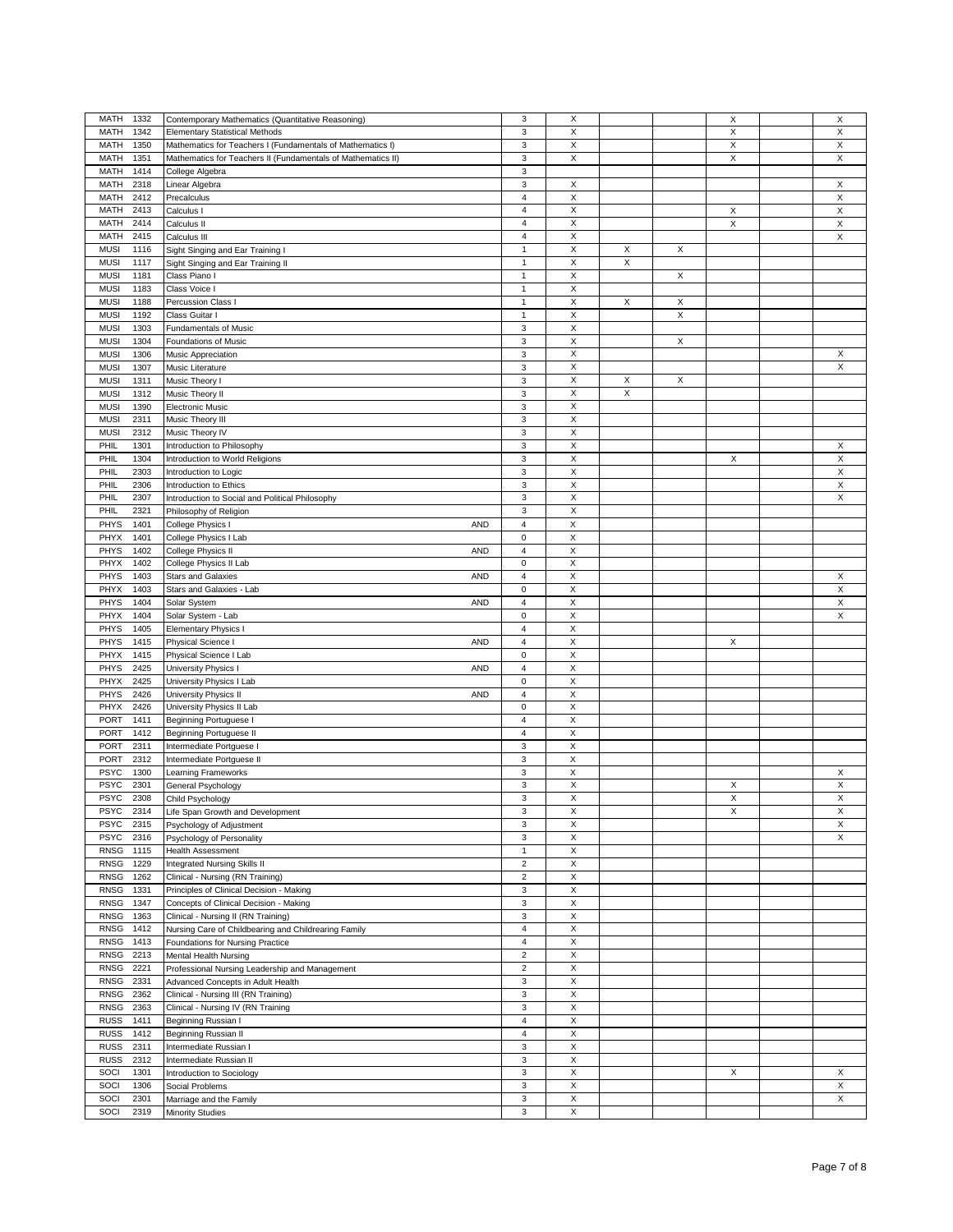| MATH<br>1332        | Contemporary Mathematics (Quantitative Reasoning)            | 3                         | X                         |   |   | X | X           |
|---------------------|--------------------------------------------------------------|---------------------------|---------------------------|---|---|---|-------------|
| MATH<br>1342        | <b>Elementary Statistical Methods</b>                        | 3                         | X                         |   |   | X | X           |
| MATH<br>1350        | Mathematics for Teachers I (Fundamentals of Mathematics I)   | 3                         | X                         |   |   | X | X           |
| MATH<br>1351        | Mathematics for Teachers II (Fundamentals of Mathematics II) | 3                         | $\mathsf X$               |   |   | Χ | X           |
|                     |                                                              |                           |                           |   |   |   |             |
| MATH<br>1414        | College Algebra                                              | 3                         |                           |   |   |   |             |
| MATH<br>2318        | Linear Algebra                                               | 3                         | X                         |   |   |   | X           |
| MATH<br>2412        | Precalculus                                                  | $\overline{4}$            | X                         |   |   |   | X           |
| MATH<br>2413        | Calculus I                                                   | $\overline{4}$            | X                         |   |   | X | X           |
|                     |                                                              |                           | X                         |   |   | X | $\mathsf X$ |
| MATH<br>2414        | Calculus II                                                  | $\sqrt{4}$                |                           |   |   |   |             |
| 2415<br>MATH        | Calculus III                                                 | $\sqrt{4}$                | X                         |   |   |   | X           |
| <b>MUSI</b><br>1116 | Sight Singing and Ear Training I                             | $\mathbf{1}$              | X                         | X | X |   |             |
| <b>MUSI</b><br>1117 | Sight Singing and Ear Training II                            | $\mathbf{1}$              | X                         | X |   |   |             |
|                     | Class Piano I                                                |                           | X                         |   | X |   |             |
| <b>MUSI</b><br>1181 |                                                              | $\mathbf{1}$              |                           |   |   |   |             |
| <b>MUSI</b><br>1183 | Class Voice I                                                | $\mathbf{1}$              | X                         |   |   |   |             |
| <b>MUSI</b><br>1188 | Percussion Class I                                           | $\mathbf 1$               | X                         | X | X |   |             |
| <b>MUSI</b><br>1192 | Class Guitar I                                               | $\mathbf{1}$              | X                         |   | X |   |             |
| <b>MUSI</b><br>1303 |                                                              | 3                         | X                         |   |   |   |             |
|                     | Fundamentals of Music                                        |                           |                           |   |   |   |             |
| <b>MUSI</b><br>1304 | Foundations of Music                                         | 3                         | X                         |   | X |   |             |
| <b>MUSI</b><br>1306 | Music Appreciation                                           | 3                         | $\mathsf X$               |   |   |   | X           |
| <b>MUSI</b><br>1307 | Music Literature                                             | 3                         | X                         |   |   |   | X           |
| <b>MUSI</b><br>1311 | Music Theory I                                               | 3                         | X                         | X | X |   |             |
|                     |                                                              |                           |                           |   |   |   |             |
| <b>MUSI</b><br>1312 | Music Theory II                                              | 3                         | X                         | X |   |   |             |
| <b>MUSI</b><br>1390 | <b>Electronic Music</b>                                      | $\ensuremath{\mathsf{3}}$ | X                         |   |   |   |             |
| <b>MUSI</b><br>2311 | Music Theory III                                             | 3                         | $\mathsf X$               |   |   |   |             |
| <b>MUSI</b><br>2312 | Music Theory IV                                              | 3                         | X                         |   |   |   |             |
|                     |                                                              |                           |                           |   |   |   |             |
| PHIL<br>1301        | Introduction to Philosophy                                   | 3                         | X                         |   |   |   | X           |
| PHIL<br>1304        | Introduction to World Religions                              | 3                         | X                         |   |   | X | X           |
| PHIL<br>2303        | Introduction to Logic                                        | $\ensuremath{\mathsf{3}}$ | X                         |   |   |   | X           |
| PHIL<br>2306        | Introduction to Ethics                                       | $\mathsf 3$               | $\mathsf X$               |   |   |   | X           |
|                     |                                                              |                           |                           |   |   |   |             |
| PHIL<br>2307        | Introduction to Social and Political Philosophy              | 3                         | $\boldsymbol{\mathsf{X}}$ |   |   |   | X           |
| PHIL<br>2321        | Philosophy of Religion                                       | 3                         | X                         |   |   |   |             |
| <b>PHYS</b><br>1401 | College Physics I<br>AND                                     | 4                         | X                         |   |   |   |             |
| PHYX<br>1401        |                                                              | $\pmb{0}$                 | X                         |   |   |   |             |
|                     | College Physics I Lab                                        |                           |                           |   |   |   |             |
| PHYS<br>1402        | College Physics II<br>AND                                    | $\sqrt{4}$                | $\boldsymbol{\mathsf{X}}$ |   |   |   |             |
| PHYX<br>1402        | College Physics II Lab                                       | $\mathbf 0$               | $\mathsf X$               |   |   |   |             |
| PHYS<br>1403        | <b>Stars and Galaxies</b><br><b>AND</b>                      | $\sqrt{4}$                | X                         |   |   |   | X           |
|                     |                                                              |                           |                           |   |   |   | X           |
| PHYX<br>1403        | Stars and Galaxies - Lab                                     | $\mathbf 0$               | X                         |   |   |   |             |
| PHYS<br>1404        | Solar System<br>AND                                          | $\sqrt{4}$                | X                         |   |   |   | X           |
| PHYX<br>1404        | Solar System - Lab                                           | $\pmb{0}$                 | $\mathsf X$               |   |   |   | X           |
| 1405<br>PHYS        | <b>Elementary Physics I</b>                                  | 4                         | X                         |   |   |   |             |
| <b>PHYS</b><br>1415 | Physical Science I<br><b>AND</b>                             | $\overline{\mathbf{4}}$   | X                         |   |   | X |             |
|                     |                                                              |                           |                           |   |   |   |             |
| PHYX<br>1415        | Physical Science I Lab                                       | $\pmb{0}$                 | X                         |   |   |   |             |
| PHYS<br>2425        | University Physics I<br>AND                                  | $\sqrt{4}$                | X                         |   |   |   |             |
| PHYX<br>2425        | University Physics I Lab                                     | $\pmb{0}$                 | $\mathsf X$               |   |   |   |             |
|                     |                                                              |                           |                           |   |   |   |             |
| 2426<br>PHYS        | University Physics II<br>AND                                 | 4                         | X                         |   |   |   |             |
| PHYX<br>2426        | University Physics II Lab                                    | $\mathbf 0$               | X                         |   |   |   |             |
| <b>PORT</b><br>1411 | Beginning Portuguese I                                       | $\sqrt{4}$                | X                         |   |   |   |             |
| <b>PORT</b><br>1412 | Beginning Portuguese II                                      | $\sqrt{4}$                | X                         |   |   |   |             |
| <b>PORT</b><br>2311 | Intermediate Portguese I                                     | 3                         | $\mathsf X$               |   |   |   |             |
|                     |                                                              |                           |                           |   |   |   |             |
| 2312<br><b>PORT</b> | Intermediate Portguese II                                    | 3                         | X                         |   |   |   |             |
| <b>PSYC</b><br>1300 | Learning Frameworks                                          | $\ensuremath{\mathsf{3}}$ | X                         |   |   |   | X           |
| <b>PSYC</b><br>2301 | General Psychology                                           | 3                         | X                         |   |   | Х | X           |
| <b>PSYC</b><br>2308 | Child Psychology                                             | 3                         | X                         |   |   | X | X           |
|                     |                                                              |                           |                           |   |   |   |             |
| PSYC<br>2314        | Life Span Growth and Development                             | 3                         | х                         |   |   | X | X           |
| <b>PSYC</b><br>2315 | Psychology of Adjustment                                     | 3                         | X                         |   |   |   | X           |
| <b>PSYC</b><br>2316 | Psychology of Personality                                    | 3                         | X                         |   |   |   | X           |
| <b>RNSG</b><br>1115 | <b>Health Assessment</b>                                     | $\mathbf{1}$              | X                         |   |   |   |             |
| <b>RNSG</b><br>1229 | <b>Integrated Nursing Skills II</b>                          | $\overline{2}$            | X                         |   |   |   |             |
|                     |                                                              |                           |                           |   |   |   |             |
| <b>RNSG</b><br>1262 | Clinical - Nursing (RN Training)                             | $\overline{2}$            | $\mathsf X$               |   |   |   |             |
| <b>RNSG</b><br>1331 | Principles of Clinical Decision - Making                     | 3                         | X                         |   |   |   |             |
| <b>RNSG</b><br>1347 | Concepts of Clinical Decision - Making                       | 3                         | X                         |   |   |   |             |
| <b>RNSG</b><br>1363 | Clinical - Nursing II (RN Training)                          | 3                         | X                         |   |   |   |             |
|                     |                                                              |                           |                           |   |   |   |             |
| <b>RNSG</b><br>1412 | Nursing Care of Childbearing and Childrearing Family         | $\overline{\mathbf{4}}$   | X                         |   |   |   |             |
| <b>RNSG</b><br>1413 | Foundations for Nursing Practice                             | $\overline{4}$            | Χ                         |   |   |   |             |
| <b>RNSG</b><br>2213 | Mental Health Nursing                                        | $\mathbf 2$               | X                         |   |   |   |             |
| <b>RNSG</b><br>2221 | Professional Nursing Leadership and Management               | $\overline{c}$            | X                         |   |   |   |             |
|                     |                                                              |                           |                           |   |   |   |             |
| <b>RNSG</b><br>2331 | Advanced Concepts in Adult Health                            | 3                         | X                         |   |   |   |             |
| <b>RNSG</b><br>2362 | Clinical - Nursing III (RN Training)                         | 3                         | X                         |   |   |   |             |
| RNSG<br>2363        | Clinical - Nursing IV (RN Training                           | $\mathsf 3$               | $\mathsf X$               |   |   |   |             |
| <b>RUSS</b><br>1411 | Beginning Russian I                                          | $\sqrt{4}$                | X                         |   |   |   |             |
|                     |                                                              |                           |                           |   |   |   |             |
| <b>RUSS</b><br>1412 | Beginning Russian II                                         | $\overline{\mathbf{4}}$   | X                         |   |   |   |             |
| <b>RUSS</b><br>2311 | Intermediate Russian I                                       | 3                         | X                         |   |   |   |             |
| <b>RUSS</b><br>2312 | Intermediate Russian II                                      | 3                         | X                         |   |   |   |             |
| SOCI<br>1301        | Introduction to Sociology                                    | 3                         | Χ                         |   |   | X | X           |
| SOCI<br>1306        |                                                              | 3                         | X                         |   |   |   | X           |
|                     | Social Problems                                              |                           |                           |   |   |   |             |
| SOCI<br>2301        | Marriage and the Family                                      | 3                         | X                         |   |   |   | X           |
| SOCI<br>2319        | <b>Minority Studies</b>                                      | 3                         | X                         |   |   |   |             |